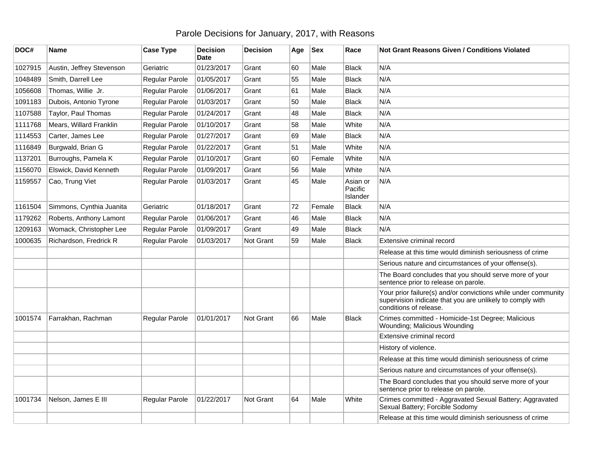## Parole Decisions for January, 2017, with Reasons

| DOC#    | Name                      | <b>Case Type</b>      | <b>Decision</b><br><b>Date</b> | <b>Decision</b>  | Age | <b>Sex</b> | Race                            | <b>Not Grant Reasons Given / Conditions Violated</b>                                                                                                  |
|---------|---------------------------|-----------------------|--------------------------------|------------------|-----|------------|---------------------------------|-------------------------------------------------------------------------------------------------------------------------------------------------------|
| 1027915 | Austin, Jeffrey Stevenson | Geriatric             | 01/23/2017                     | Grant            | 60  | Male       | <b>Black</b>                    | N/A                                                                                                                                                   |
| 1048489 | Smith, Darrell Lee        | Regular Parole        | 01/05/2017                     | Grant            | 55  | Male       | <b>Black</b>                    | N/A                                                                                                                                                   |
| 1056608 | Thomas, Willie Jr.        | Regular Parole        | 01/06/2017                     | Grant            | 61  | Male       | <b>Black</b>                    | N/A                                                                                                                                                   |
| 1091183 | Dubois, Antonio Tyrone    | Regular Parole        | 01/03/2017                     | Grant            | 50  | Male       | <b>Black</b>                    | N/A                                                                                                                                                   |
| 1107588 | Taylor, Paul Thomas       | Regular Parole        | 01/24/2017                     | Grant            | 48  | Male       | <b>Black</b>                    | N/A                                                                                                                                                   |
| 1111768 | Mears, Willard Franklin   | Regular Parole        | 01/10/2017                     | Grant            | 58  | Male       | White                           | N/A                                                                                                                                                   |
| 1114553 | Carter, James Lee         | Regular Parole        | 01/27/2017                     | Grant            | 69  | Male       | <b>Black</b>                    | N/A                                                                                                                                                   |
| 1116849 | Burgwald, Brian G         | Regular Parole        | 01/22/2017                     | Grant            | 51  | Male       | White                           | N/A                                                                                                                                                   |
| 1137201 | Burroughs, Pamela K       | Regular Parole        | 01/10/2017                     | Grant            | 60  | Female     | White                           | N/A                                                                                                                                                   |
| 1156070 | Elswick, David Kenneth    | Regular Parole        | 01/09/2017                     | Grant            | 56  | Male       | White                           | N/A                                                                                                                                                   |
| 1159557 | Cao, Trung Viet           | Regular Parole        | 01/03/2017                     | Grant            | 45  | Male       | Asian or<br>Pacific<br>Islander | N/A                                                                                                                                                   |
| 1161504 | Simmons, Cynthia Juanita  | Geriatric             | 01/18/2017                     | Grant            | 72  | Female     | <b>Black</b>                    | N/A                                                                                                                                                   |
| 1179262 | Roberts, Anthony Lamont   | Regular Parole        | 01/06/2017                     | Grant            | 46  | Male       | <b>Black</b>                    | N/A                                                                                                                                                   |
| 1209163 | Womack, Christopher Lee   | Regular Parole        | 01/09/2017                     | Grant            | 49  | Male       | <b>Black</b>                    | N/A                                                                                                                                                   |
| 1000635 | Richardson, Fredrick R    | Regular Parole        | 01/03/2017                     | <b>Not Grant</b> | 59  | Male       | <b>Black</b>                    | Extensive criminal record                                                                                                                             |
|         |                           |                       |                                |                  |     |            |                                 | Release at this time would diminish seriousness of crime                                                                                              |
|         |                           |                       |                                |                  |     |            |                                 | Serious nature and circumstances of your offense(s).                                                                                                  |
|         |                           |                       |                                |                  |     |            |                                 | The Board concludes that you should serve more of your<br>sentence prior to release on parole.                                                        |
|         |                           |                       |                                |                  |     |            |                                 | Your prior failure(s) and/or convictions while under community<br>supervision indicate that you are unlikely to comply with<br>conditions of release. |
| 1001574 | Farrakhan, Rachman        | <b>Regular Parole</b> | 01/01/2017                     | Not Grant        | 66  | Male       | <b>Black</b>                    | Crimes committed - Homicide-1st Degree; Malicious<br>Wounding; Malicious Wounding                                                                     |
|         |                           |                       |                                |                  |     |            |                                 | Extensive criminal record                                                                                                                             |
|         |                           |                       |                                |                  |     |            |                                 | History of violence.                                                                                                                                  |
|         |                           |                       |                                |                  |     |            |                                 | Release at this time would diminish seriousness of crime                                                                                              |
|         |                           |                       |                                |                  |     |            |                                 | Serious nature and circumstances of your offense(s).                                                                                                  |
|         |                           |                       |                                |                  |     |            |                                 | The Board concludes that you should serve more of your<br>sentence prior to release on parole.                                                        |
| 1001734 | Nelson, James E III       | Regular Parole        | 01/22/2017                     | Not Grant        | 64  | Male       | White                           | Crimes committed - Aggravated Sexual Battery; Aggravated<br>Sexual Battery; Forcible Sodomy                                                           |
|         |                           |                       |                                |                  |     |            |                                 | Release at this time would diminish seriousness of crime                                                                                              |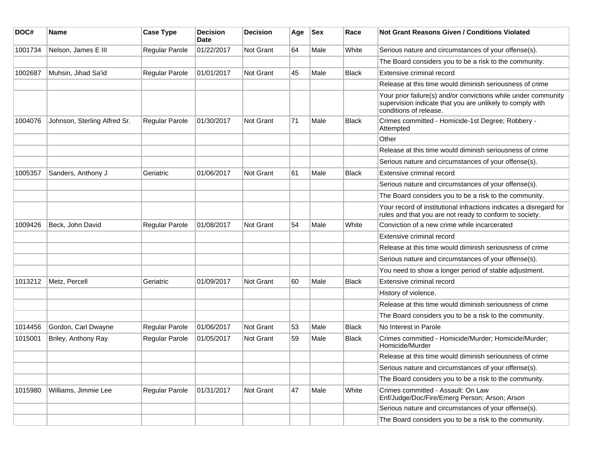| DOC#    | <b>Name</b>                  | <b>Case Type</b>      | <b>Decision</b><br>Date | <b>Decision</b>  | Age | <b>Sex</b> | Race         | Not Grant Reasons Given / Conditions Violated                                                                                                         |
|---------|------------------------------|-----------------------|-------------------------|------------------|-----|------------|--------------|-------------------------------------------------------------------------------------------------------------------------------------------------------|
| 1001734 | Nelson, James E III          | Regular Parole        | 01/22/2017              | Not Grant        | 64  | Male       | White        | Serious nature and circumstances of your offense(s).                                                                                                  |
|         |                              |                       |                         |                  |     |            |              | The Board considers you to be a risk to the community.                                                                                                |
| 1002687 | Muhsin, Jihad Sa'id          | <b>Regular Parole</b> | 01/01/2017              | <b>Not Grant</b> | 45  | Male       | <b>Black</b> | Extensive criminal record                                                                                                                             |
|         |                              |                       |                         |                  |     |            |              | Release at this time would diminish seriousness of crime                                                                                              |
|         |                              |                       |                         |                  |     |            |              | Your prior failure(s) and/or convictions while under community<br>supervision indicate that you are unlikely to comply with<br>conditions of release. |
| 1004076 | Johnson, Sterling Alfred Sr. | <b>Regular Parole</b> | 01/30/2017              | Not Grant        | 71  | Male       | Black        | Crimes committed - Homicide-1st Degree; Robbery -<br>Attempted                                                                                        |
|         |                              |                       |                         |                  |     |            |              | Other                                                                                                                                                 |
|         |                              |                       |                         |                  |     |            |              | Release at this time would diminish seriousness of crime                                                                                              |
|         |                              |                       |                         |                  |     |            |              | Serious nature and circumstances of your offense(s).                                                                                                  |
| 1005357 | Sanders, Anthony J           | Geriatric             | 01/06/2017              | <b>Not Grant</b> | 61  | Male       | <b>Black</b> | Extensive criminal record                                                                                                                             |
|         |                              |                       |                         |                  |     |            |              | Serious nature and circumstances of your offense(s).                                                                                                  |
|         |                              |                       |                         |                  |     |            |              | The Board considers you to be a risk to the community.                                                                                                |
|         |                              |                       |                         |                  |     |            |              | Your record of institutional infractions indicates a disregard for<br>rules and that you are not ready to conform to society.                         |
| 1009426 | Beck, John David             | Regular Parole        | 01/08/2017              | <b>Not Grant</b> | 54  | Male       | White        | Conviction of a new crime while incarcerated                                                                                                          |
|         |                              |                       |                         |                  |     |            |              | Extensive criminal record                                                                                                                             |
|         |                              |                       |                         |                  |     |            |              | Release at this time would diminish seriousness of crime                                                                                              |
|         |                              |                       |                         |                  |     |            |              | Serious nature and circumstances of your offense(s).                                                                                                  |
|         |                              |                       |                         |                  |     |            |              | You need to show a longer period of stable adjustment.                                                                                                |
| 1013212 | Metz, Percell                | Geriatric             | 01/09/2017              | <b>Not Grant</b> | 60  | Male       | <b>Black</b> | Extensive criminal record                                                                                                                             |
|         |                              |                       |                         |                  |     |            |              | History of violence.                                                                                                                                  |
|         |                              |                       |                         |                  |     |            |              | Release at this time would diminish seriousness of crime                                                                                              |
|         |                              |                       |                         |                  |     |            |              | The Board considers you to be a risk to the community.                                                                                                |
| 1014456 | Gordon, Carl Dwayne          | Regular Parole        | 01/06/2017              | <b>Not Grant</b> | 53  | Male       | <b>Black</b> | No Interest in Parole                                                                                                                                 |
| 1015001 | Briley, Anthony Ray          | Regular Parole        | 01/05/2017              | <b>Not Grant</b> | 59  | Male       | <b>Black</b> | Crimes committed - Homicide/Murder; Homicide/Murder;<br>Homicide/Murder                                                                               |
|         |                              |                       |                         |                  |     |            |              | Release at this time would diminish seriousness of crime                                                                                              |
|         |                              |                       |                         |                  |     |            |              | Serious nature and circumstances of your offense(s).                                                                                                  |
|         |                              |                       |                         |                  |     |            |              | The Board considers you to be a risk to the community.                                                                                                |
| 1015980 | Williams, Jimmie Lee         | Regular Parole        | 01/31/2017              | Not Grant        | 47  | Male       | White        | Crimes committed - Assault: On Law<br>Enf/Judge/Doc/Fire/Emerg Person; Arson; Arson                                                                   |
|         |                              |                       |                         |                  |     |            |              | Serious nature and circumstances of your offense(s).                                                                                                  |
|         |                              |                       |                         |                  |     |            |              | The Board considers you to be a risk to the community.                                                                                                |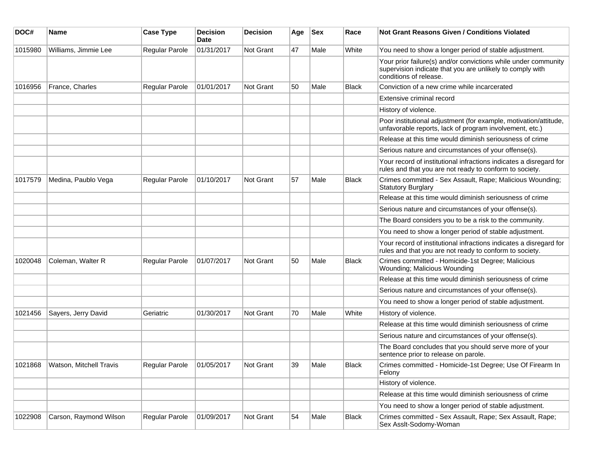| DOC#    | Name                    | <b>Case Type</b>      | <b>Decision</b><br>Date | <b>Decision</b>  | Age | <b>Sex</b> | Race         | Not Grant Reasons Given / Conditions Violated                                                                                                         |
|---------|-------------------------|-----------------------|-------------------------|------------------|-----|------------|--------------|-------------------------------------------------------------------------------------------------------------------------------------------------------|
| 1015980 | Williams, Jimmie Lee    | Regular Parole        | 01/31/2017              | Not Grant        | 47  | Male       | White        | You need to show a longer period of stable adjustment.                                                                                                |
|         |                         |                       |                         |                  |     |            |              | Your prior failure(s) and/or convictions while under community<br>supervision indicate that you are unlikely to comply with<br>conditions of release. |
| 1016956 | France, Charles         | Regular Parole        | 01/01/2017              | Not Grant        | 50  | Male       | <b>Black</b> | Conviction of a new crime while incarcerated                                                                                                          |
|         |                         |                       |                         |                  |     |            |              | Extensive criminal record                                                                                                                             |
|         |                         |                       |                         |                  |     |            |              | History of violence.                                                                                                                                  |
|         |                         |                       |                         |                  |     |            |              | Poor institutional adjustment (for example, motivation/attitude,<br>unfavorable reports, lack of program involvement, etc.)                           |
|         |                         |                       |                         |                  |     |            |              | Release at this time would diminish seriousness of crime                                                                                              |
|         |                         |                       |                         |                  |     |            |              | Serious nature and circumstances of your offense(s).                                                                                                  |
|         |                         |                       |                         |                  |     |            |              | Your record of institutional infractions indicates a disregard for<br>rules and that you are not ready to conform to society.                         |
| 1017579 | Medina, Paublo Vega     | <b>Regular Parole</b> | 01/10/2017              | <b>Not Grant</b> | 57  | Male       | <b>Black</b> | Crimes committed - Sex Assault, Rape; Malicious Wounding;<br><b>Statutory Burglary</b>                                                                |
|         |                         |                       |                         |                  |     |            |              | Release at this time would diminish seriousness of crime                                                                                              |
|         |                         |                       |                         |                  |     |            |              | Serious nature and circumstances of your offense(s).                                                                                                  |
|         |                         |                       |                         |                  |     |            |              | The Board considers you to be a risk to the community.                                                                                                |
|         |                         |                       |                         |                  |     |            |              | You need to show a longer period of stable adjustment.                                                                                                |
|         |                         |                       |                         |                  |     |            |              | Your record of institutional infractions indicates a disregard for<br>rules and that you are not ready to conform to society.                         |
| 1020048 | Coleman, Walter R       | Regular Parole        | 01/07/2017              | <b>Not Grant</b> | 50  | Male       | <b>Black</b> | Crimes committed - Homicide-1st Degree; Malicious<br>Wounding; Malicious Wounding                                                                     |
|         |                         |                       |                         |                  |     |            |              | Release at this time would diminish seriousness of crime                                                                                              |
|         |                         |                       |                         |                  |     |            |              | Serious nature and circumstances of your offense(s).                                                                                                  |
|         |                         |                       |                         |                  |     |            |              | You need to show a longer period of stable adjustment.                                                                                                |
| 1021456 | Sayers, Jerry David     | Geriatric             | 01/30/2017              | <b>Not Grant</b> | 70  | Male       | White        | History of violence.                                                                                                                                  |
|         |                         |                       |                         |                  |     |            |              | Release at this time would diminish seriousness of crime                                                                                              |
|         |                         |                       |                         |                  |     |            |              | Serious nature and circumstances of your offense(s).                                                                                                  |
|         |                         |                       |                         |                  |     |            |              | The Board concludes that you should serve more of your<br>sentence prior to release on parole.                                                        |
| 1021868 | Watson, Mitchell Travis | Regular Parole        | 01/05/2017              | Not Grant        | 39  | Male       | <b>Black</b> | Crimes committed - Homicide-1st Degree; Use Of Firearm In<br>Felony                                                                                   |
|         |                         |                       |                         |                  |     |            |              | History of violence.                                                                                                                                  |
|         |                         |                       |                         |                  |     |            |              | Release at this time would diminish seriousness of crime                                                                                              |
|         |                         |                       |                         |                  |     |            |              | You need to show a longer period of stable adjustment.                                                                                                |
| 1022908 | Carson, Raymond Wilson  | Regular Parole        | 01/09/2017              | Not Grant        | 54  | Male       | Black        | Crimes committed - Sex Assault, Rape; Sex Assault, Rape;<br>Sex Asslt-Sodomy-Woman                                                                    |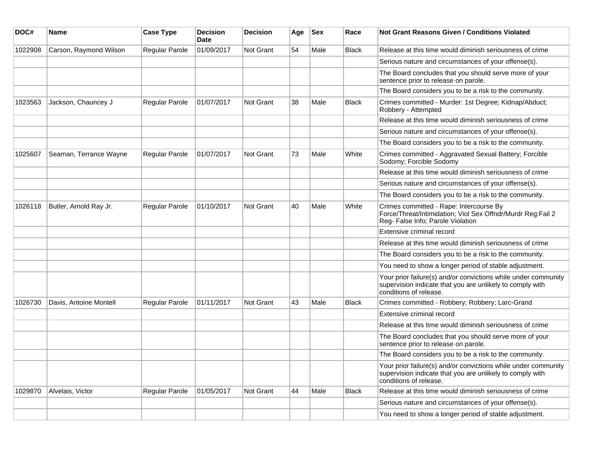| DOC#    | Name                   | <b>Case Type</b>      | <b>Decision</b><br><b>Date</b> | <b>Decision</b>  | Age | <b>Sex</b> | Race         | Not Grant Reasons Given / Conditions Violated                                                                                                         |
|---------|------------------------|-----------------------|--------------------------------|------------------|-----|------------|--------------|-------------------------------------------------------------------------------------------------------------------------------------------------------|
| 1022908 | Carson, Raymond Wilson | Regular Parole        | 01/09/2017                     | Not Grant        | 54  | Male       | <b>Black</b> | Release at this time would diminish seriousness of crime                                                                                              |
|         |                        |                       |                                |                  |     |            |              | Serious nature and circumstances of your offense(s).                                                                                                  |
|         |                        |                       |                                |                  |     |            |              | The Board concludes that you should serve more of your<br>sentence prior to release on parole.                                                        |
|         |                        |                       |                                |                  |     |            |              | The Board considers you to be a risk to the community.                                                                                                |
| 1023563 | Jackson, Chauncey J    | Regular Parole        | 01/07/2017                     | <b>Not Grant</b> | 38  | Male       | Black        | Crimes committed - Murder: 1st Degree; Kidnap/Abduct;<br>Robbery - Attempted                                                                          |
|         |                        |                       |                                |                  |     |            |              | Release at this time would diminish seriousness of crime                                                                                              |
|         |                        |                       |                                |                  |     |            |              | Serious nature and circumstances of your offense(s).                                                                                                  |
|         |                        |                       |                                |                  |     |            |              | The Board considers you to be a risk to the community.                                                                                                |
| 1025607 | Seaman, Terrance Wayne | <b>Regular Parole</b> | 01/07/2017                     | <b>Not Grant</b> | 73  | Male       | White        | Crimes committed - Aggravated Sexual Battery; Forcible<br>Sodomy; Forcible Sodomy                                                                     |
|         |                        |                       |                                |                  |     |            |              | Release at this time would diminish seriousness of crime                                                                                              |
|         |                        |                       |                                |                  |     |            |              | Serious nature and circumstances of your offense(s).                                                                                                  |
|         |                        |                       |                                |                  |     |            |              | The Board considers you to be a risk to the community.                                                                                                |
| 1026118 | Butler, Arnold Ray Jr. | Regular Parole        | 01/10/2017                     | <b>Not Grant</b> | 40  | Male       | White        | Crimes committed - Rape: Intercourse By<br>Force/Threat/Intimidation; Viol Sex Offndr/Murdr Reg:Fail 2<br>Reg- False Info; Parole Violation           |
|         |                        |                       |                                |                  |     |            |              | Extensive criminal record                                                                                                                             |
|         |                        |                       |                                |                  |     |            |              | Release at this time would diminish seriousness of crime                                                                                              |
|         |                        |                       |                                |                  |     |            |              | The Board considers you to be a risk to the community.                                                                                                |
|         |                        |                       |                                |                  |     |            |              | You need to show a longer period of stable adjustment.                                                                                                |
|         |                        |                       |                                |                  |     |            |              | Your prior failure(s) and/or convictions while under community<br>supervision indicate that you are unlikely to comply with<br>conditions of release. |
| 1026730 | Davis, Antoine Montell | <b>Regular Parole</b> | 01/11/2017                     | Not Grant        | 43  | Male       | <b>Black</b> | Crimes committed - Robbery; Robbery; Larc-Grand                                                                                                       |
|         |                        |                       |                                |                  |     |            |              | Extensive criminal record                                                                                                                             |
|         |                        |                       |                                |                  |     |            |              | Release at this time would diminish seriousness of crime                                                                                              |
|         |                        |                       |                                |                  |     |            |              | The Board concludes that you should serve more of your<br>sentence prior to release on parole.                                                        |
|         |                        |                       |                                |                  |     |            |              | The Board considers you to be a risk to the community.                                                                                                |
|         |                        |                       |                                |                  |     |            |              | Your prior failure(s) and/or convictions while under community<br>supervision indicate that you are unlikely to comply with<br>conditions of release. |
| 1029870 | Alvelais, Victor       | Regular Parole        | 01/05/2017                     | Not Grant        | 44  | Male       | Black        | Release at this time would diminish seriousness of crime                                                                                              |
|         |                        |                       |                                |                  |     |            |              | Serious nature and circumstances of your offense(s).                                                                                                  |
|         |                        |                       |                                |                  |     |            |              | You need to show a longer period of stable adjustment.                                                                                                |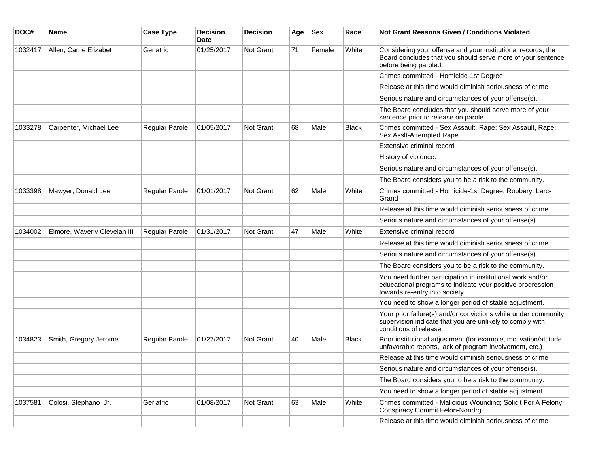| DOC#    | <b>Name</b>                  | <b>Case Type</b> | <b>Decision</b><br>Date | <b>Decision</b> | Age | <b>Sex</b> | Race         | Not Grant Reasons Given / Conditions Violated                                                                                                               |
|---------|------------------------------|------------------|-------------------------|-----------------|-----|------------|--------------|-------------------------------------------------------------------------------------------------------------------------------------------------------------|
| 1032417 | Allen, Carrie Elizabet       | Geriatric        | 01/25/2017              | Not Grant       | 71  | Female     | White        | Considering your offense and your institutional records, the<br>Board concludes that you should serve more of your sentence<br>before being paroled.        |
|         |                              |                  |                         |                 |     |            |              | Crimes committed - Homicide-1st Degree                                                                                                                      |
|         |                              |                  |                         |                 |     |            |              | Release at this time would diminish seriousness of crime                                                                                                    |
|         |                              |                  |                         |                 |     |            |              | Serious nature and circumstances of your offense(s).                                                                                                        |
|         |                              |                  |                         |                 |     |            |              | The Board concludes that you should serve more of your<br>sentence prior to release on parole.                                                              |
| 1033278 | Carpenter, Michael Lee       | Regular Parole   | 01/05/2017              | Not Grant       | 68  | Male       | <b>Black</b> | Crimes committed - Sex Assault, Rape; Sex Assault, Rape;<br>Sex Asslt-Attempted Rape                                                                        |
|         |                              |                  |                         |                 |     |            |              | Extensive criminal record                                                                                                                                   |
|         |                              |                  |                         |                 |     |            |              | History of violence.                                                                                                                                        |
|         |                              |                  |                         |                 |     |            |              | Serious nature and circumstances of your offense(s).                                                                                                        |
|         |                              |                  |                         |                 |     |            |              | The Board considers you to be a risk to the community.                                                                                                      |
| 1033398 | Mawyer, Donald Lee           | Regular Parole   | 01/01/2017              | Not Grant       | 62  | Male       | White        | Crimes committed - Homicide-1st Degree; Robbery; Larc-<br>Grand                                                                                             |
|         |                              |                  |                         |                 |     |            |              | Release at this time would diminish seriousness of crime                                                                                                    |
|         |                              |                  |                         |                 |     |            |              | Serious nature and circumstances of your offense(s).                                                                                                        |
| 1034002 | Elmore, Waverly Clevelan III | Regular Parole   | 01/31/2017              | Not Grant       | 47  | Male       | White        | Extensive criminal record                                                                                                                                   |
|         |                              |                  |                         |                 |     |            |              | Release at this time would diminish seriousness of crime                                                                                                    |
|         |                              |                  |                         |                 |     |            |              | Serious nature and circumstances of your offense(s).                                                                                                        |
|         |                              |                  |                         |                 |     |            |              | The Board considers you to be a risk to the community.                                                                                                      |
|         |                              |                  |                         |                 |     |            |              | You need further participation in institutional work and/or<br>educational programs to indicate your positive progression<br>towards re-entry into society. |
|         |                              |                  |                         |                 |     |            |              | You need to show a longer period of stable adjustment.                                                                                                      |
|         |                              |                  |                         |                 |     |            |              | Your prior failure(s) and/or convictions while under community<br>supervision indicate that you are unlikely to comply with<br>conditions of release.       |
| 1034823 | Smith, Gregory Jerome        | Regular Parole   | 01/27/2017              | Not Grant       | 40  | Male       | Black        | Poor institutional adjustment (for example, motivation/attitude,<br>unfavorable reports, lack of program involvement, etc.)                                 |
|         |                              |                  |                         |                 |     |            |              | Release at this time would diminish seriousness of crime                                                                                                    |
|         |                              |                  |                         |                 |     |            |              | Serious nature and circumstances of your offense(s).                                                                                                        |
|         |                              |                  |                         |                 |     |            |              | The Board considers you to be a risk to the community.                                                                                                      |
|         |                              |                  |                         |                 |     |            |              | You need to show a longer period of stable adjustment.                                                                                                      |
| 1037581 | Colosi, Stephano Jr.         | Geriatric        | 01/08/2017              | Not Grant       | 63  | Male       | White        | Crimes committed - Malicious Wounding; Solicit For A Felony;<br><b>Conspiracy Commit Felon-Nondrg</b>                                                       |
|         |                              |                  |                         |                 |     |            |              | Release at this time would diminish seriousness of crime                                                                                                    |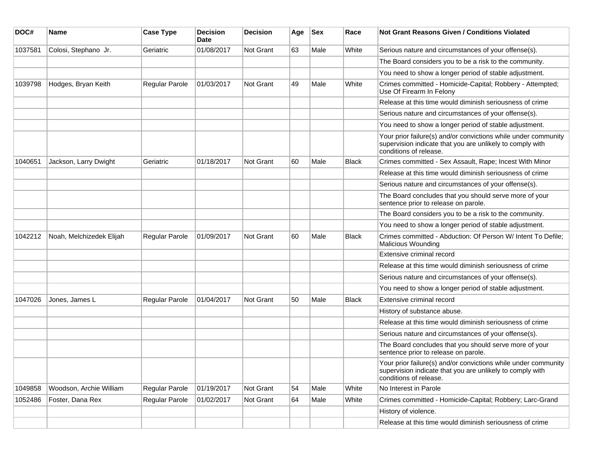| DOC#    | <b>Name</b>              | <b>Case Type</b>      | <b>Decision</b><br><b>Date</b> | <b>Decision</b> | Age | <b>Sex</b> | Race         | <b>Not Grant Reasons Given / Conditions Violated</b>                                                                                                  |
|---------|--------------------------|-----------------------|--------------------------------|-----------------|-----|------------|--------------|-------------------------------------------------------------------------------------------------------------------------------------------------------|
| 1037581 | Colosi, Stephano Jr.     | Geriatric             | 01/08/2017                     | Not Grant       | 63  | Male       | White        | Serious nature and circumstances of your offense(s).                                                                                                  |
|         |                          |                       |                                |                 |     |            |              | The Board considers you to be a risk to the community.                                                                                                |
|         |                          |                       |                                |                 |     |            |              | You need to show a longer period of stable adjustment.                                                                                                |
| 1039798 | Hodges, Bryan Keith      | Regular Parole        | 01/03/2017                     | Not Grant       | 49  | Male       | White        | Crimes committed - Homicide-Capital; Robbery - Attempted;<br>Use Of Firearm In Felony                                                                 |
|         |                          |                       |                                |                 |     |            |              | Release at this time would diminish seriousness of crime                                                                                              |
|         |                          |                       |                                |                 |     |            |              | Serious nature and circumstances of your offense(s).                                                                                                  |
|         |                          |                       |                                |                 |     |            |              | You need to show a longer period of stable adjustment.                                                                                                |
|         |                          |                       |                                |                 |     |            |              | Your prior failure(s) and/or convictions while under community<br>supervision indicate that you are unlikely to comply with<br>conditions of release. |
| 1040651 | Jackson, Larry Dwight    | Geriatric             | 01/18/2017                     | Not Grant       | 60  | Male       | <b>Black</b> | Crimes committed - Sex Assault, Rape; Incest With Minor                                                                                               |
|         |                          |                       |                                |                 |     |            |              | Release at this time would diminish seriousness of crime                                                                                              |
|         |                          |                       |                                |                 |     |            |              | Serious nature and circumstances of your offense(s).                                                                                                  |
|         |                          |                       |                                |                 |     |            |              | The Board concludes that you should serve more of your<br>sentence prior to release on parole.                                                        |
|         |                          |                       |                                |                 |     |            |              | The Board considers you to be a risk to the community.                                                                                                |
|         |                          |                       |                                |                 |     |            |              | You need to show a longer period of stable adjustment.                                                                                                |
| 1042212 | Noah, Melchizedek Elijah | Regular Parole        | 01/09/2017                     | Not Grant       | 60  | Male       | <b>Black</b> | Crimes committed - Abduction: Of Person W/ Intent To Defile;<br>Malicious Wounding                                                                    |
|         |                          |                       |                                |                 |     |            |              | Extensive criminal record                                                                                                                             |
|         |                          |                       |                                |                 |     |            |              | Release at this time would diminish seriousness of crime                                                                                              |
|         |                          |                       |                                |                 |     |            |              | Serious nature and circumstances of your offense(s).                                                                                                  |
|         |                          |                       |                                |                 |     |            |              | You need to show a longer period of stable adjustment.                                                                                                |
| 1047026 | Jones, James L           | <b>Regular Parole</b> | 01/04/2017                     | Not Grant       | 50  | Male       | <b>Black</b> | Extensive criminal record                                                                                                                             |
|         |                          |                       |                                |                 |     |            |              | History of substance abuse.                                                                                                                           |
|         |                          |                       |                                |                 |     |            |              | Release at this time would diminish seriousness of crime                                                                                              |
|         |                          |                       |                                |                 |     |            |              | Serious nature and circumstances of your offense(s).                                                                                                  |
|         |                          |                       |                                |                 |     |            |              | The Board concludes that you should serve more of your<br>sentence prior to release on parole.                                                        |
|         |                          |                       |                                |                 |     |            |              | Your prior failure(s) and/or convictions while under community<br>supervision indicate that you are unlikely to comply with<br>conditions of release. |
| 1049858 | Woodson, Archie William  | Regular Parole        | 01/19/2017                     | Not Grant       | 54  | Male       | White        | No Interest in Parole                                                                                                                                 |
| 1052486 | Foster, Dana Rex         | Regular Parole        | 01/02/2017                     | Not Grant       | 64  | Male       | White        | Crimes committed - Homicide-Capital; Robbery; Larc-Grand                                                                                              |
|         |                          |                       |                                |                 |     |            |              | History of violence.                                                                                                                                  |
|         |                          |                       |                                |                 |     |            |              | Release at this time would diminish seriousness of crime                                                                                              |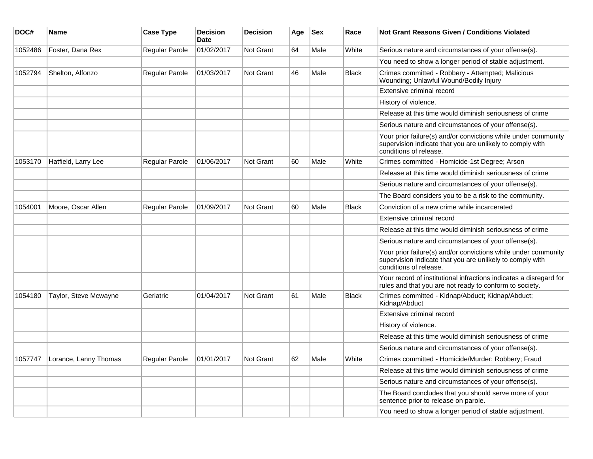| DOC#    | <b>Name</b>           | <b>Case Type</b>      | <b>Decision</b><br><b>Date</b> | <b>Decision</b>  | Age | <b>Sex</b> | Race         | <b>Not Grant Reasons Given / Conditions Violated</b>                                                                                                  |
|---------|-----------------------|-----------------------|--------------------------------|------------------|-----|------------|--------------|-------------------------------------------------------------------------------------------------------------------------------------------------------|
| 1052486 | Foster, Dana Rex      | Regular Parole        | 01/02/2017                     | Not Grant        | 64  | Male       | White        | Serious nature and circumstances of your offense(s).                                                                                                  |
|         |                       |                       |                                |                  |     |            |              | You need to show a longer period of stable adjustment.                                                                                                |
| 1052794 | Shelton, Alfonzo      | Regular Parole        | 01/03/2017                     | Not Grant        | 46  | Male       | <b>Black</b> | Crimes committed - Robbery - Attempted; Malicious<br>Wounding; Unlawful Wound/Bodily Injury                                                           |
|         |                       |                       |                                |                  |     |            |              | Extensive criminal record                                                                                                                             |
|         |                       |                       |                                |                  |     |            |              | History of violence.                                                                                                                                  |
|         |                       |                       |                                |                  |     |            |              | Release at this time would diminish seriousness of crime                                                                                              |
|         |                       |                       |                                |                  |     |            |              | Serious nature and circumstances of your offense(s).                                                                                                  |
|         |                       |                       |                                |                  |     |            |              | Your prior failure(s) and/or convictions while under community<br>supervision indicate that you are unlikely to comply with<br>conditions of release. |
| 1053170 | Hatfield, Larry Lee   | Regular Parole        | 01/06/2017                     | <b>Not Grant</b> | 60  | Male       | White        | Crimes committed - Homicide-1st Degree; Arson                                                                                                         |
|         |                       |                       |                                |                  |     |            |              | Release at this time would diminish seriousness of crime                                                                                              |
|         |                       |                       |                                |                  |     |            |              | Serious nature and circumstances of your offense(s).                                                                                                  |
|         |                       |                       |                                |                  |     |            |              | The Board considers you to be a risk to the community.                                                                                                |
| 1054001 | Moore, Oscar Allen    | <b>Regular Parole</b> | 01/09/2017                     | Not Grant        | 60  | Male       | <b>Black</b> | Conviction of a new crime while incarcerated                                                                                                          |
|         |                       |                       |                                |                  |     |            |              | Extensive criminal record                                                                                                                             |
|         |                       |                       |                                |                  |     |            |              | Release at this time would diminish seriousness of crime                                                                                              |
|         |                       |                       |                                |                  |     |            |              | Serious nature and circumstances of your offense(s).                                                                                                  |
|         |                       |                       |                                |                  |     |            |              | Your prior failure(s) and/or convictions while under community<br>supervision indicate that you are unlikely to comply with<br>conditions of release. |
|         |                       |                       |                                |                  |     |            |              | Your record of institutional infractions indicates a disregard for<br>rules and that you are not ready to conform to society.                         |
| 1054180 | Taylor, Steve Mcwayne | Geriatric             | 01/04/2017                     | <b>Not Grant</b> | 61  | Male       | <b>Black</b> | Crimes committed - Kidnap/Abduct; Kidnap/Abduct;<br>Kidnap/Abduct                                                                                     |
|         |                       |                       |                                |                  |     |            |              | Extensive criminal record                                                                                                                             |
|         |                       |                       |                                |                  |     |            |              | History of violence.                                                                                                                                  |
|         |                       |                       |                                |                  |     |            |              | Release at this time would diminish seriousness of crime                                                                                              |
|         |                       |                       |                                |                  |     |            |              | Serious nature and circumstances of your offense(s).                                                                                                  |
| 1057747 | Lorance, Lanny Thomas | Regular Parole        | 01/01/2017                     | <b>Not Grant</b> | 62  | Male       | White        | Crimes committed - Homicide/Murder; Robbery; Fraud                                                                                                    |
|         |                       |                       |                                |                  |     |            |              | Release at this time would diminish seriousness of crime                                                                                              |
|         |                       |                       |                                |                  |     |            |              | Serious nature and circumstances of your offense(s).                                                                                                  |
|         |                       |                       |                                |                  |     |            |              | The Board concludes that you should serve more of your<br>sentence prior to release on parole.                                                        |
|         |                       |                       |                                |                  |     |            |              | You need to show a longer period of stable adjustment.                                                                                                |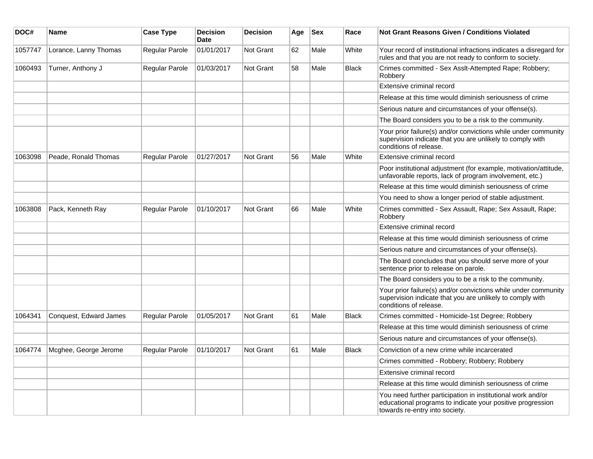| DOC#    | <b>Name</b>            | <b>Case Type</b> | <b>Decision</b><br><b>Date</b> | <b>Decision</b>  | Age | <b>Sex</b> | Race         | Not Grant Reasons Given / Conditions Violated                                                                                                               |
|---------|------------------------|------------------|--------------------------------|------------------|-----|------------|--------------|-------------------------------------------------------------------------------------------------------------------------------------------------------------|
| 1057747 | Lorance, Lanny Thomas  | Regular Parole   | 01/01/2017                     | Not Grant        | 62  | Male       | White        | Your record of institutional infractions indicates a disregard for<br>rules and that you are not ready to conform to society.                               |
| 1060493 | Turner, Anthony J      | Regular Parole   | 01/03/2017                     | <b>Not Grant</b> | 58  | Male       | <b>Black</b> | Crimes committed - Sex Asslt-Attempted Rape; Robbery;<br>Robbery                                                                                            |
|         |                        |                  |                                |                  |     |            |              | Extensive criminal record                                                                                                                                   |
|         |                        |                  |                                |                  |     |            |              | Release at this time would diminish seriousness of crime                                                                                                    |
|         |                        |                  |                                |                  |     |            |              | Serious nature and circumstances of your offense(s).                                                                                                        |
|         |                        |                  |                                |                  |     |            |              | The Board considers you to be a risk to the community.                                                                                                      |
|         |                        |                  |                                |                  |     |            |              | Your prior failure(s) and/or convictions while under community<br>supervision indicate that you are unlikely to comply with<br>conditions of release.       |
| 1063098 | Peade, Ronald Thomas   | Regular Parole   | 01/27/2017                     | Not Grant        | 56  | Male       | White        | Extensive criminal record                                                                                                                                   |
|         |                        |                  |                                |                  |     |            |              | Poor institutional adjustment (for example, motivation/attitude,<br>unfavorable reports, lack of program involvement, etc.)                                 |
|         |                        |                  |                                |                  |     |            |              | Release at this time would diminish seriousness of crime                                                                                                    |
|         |                        |                  |                                |                  |     |            |              | You need to show a longer period of stable adjustment.                                                                                                      |
| 1063808 | Pack, Kenneth Ray      | Regular Parole   | 01/10/2017                     | Not Grant        | 66  | Male       | White        | Crimes committed - Sex Assault, Rape; Sex Assault, Rape;<br>Robbery                                                                                         |
|         |                        |                  |                                |                  |     |            |              | Extensive criminal record                                                                                                                                   |
|         |                        |                  |                                |                  |     |            |              | Release at this time would diminish seriousness of crime                                                                                                    |
|         |                        |                  |                                |                  |     |            |              | Serious nature and circumstances of your offense(s).                                                                                                        |
|         |                        |                  |                                |                  |     |            |              | The Board concludes that you should serve more of your<br>sentence prior to release on parole.                                                              |
|         |                        |                  |                                |                  |     |            |              | The Board considers you to be a risk to the community.                                                                                                      |
|         |                        |                  |                                |                  |     |            |              | Your prior failure(s) and/or convictions while under community<br>supervision indicate that you are unlikely to comply with<br>conditions of release.       |
| 1064341 | Conquest, Edward James | Regular Parole   | 01/05/2017                     | Not Grant        | 61  | Male       | <b>Black</b> | Crimes committed - Homicide-1st Degree; Robbery                                                                                                             |
|         |                        |                  |                                |                  |     |            |              | Release at this time would diminish seriousness of crime                                                                                                    |
|         |                        |                  |                                |                  |     |            |              | Serious nature and circumstances of your offense(s).                                                                                                        |
| 1064774 | Mcghee, George Jerome  | Regular Parole   | 01/10/2017                     | Not Grant        | 61  | Male       | <b>Black</b> | Conviction of a new crime while incarcerated                                                                                                                |
|         |                        |                  |                                |                  |     |            |              | Crimes committed - Robbery; Robbery; Robbery                                                                                                                |
|         |                        |                  |                                |                  |     |            |              | Extensive criminal record                                                                                                                                   |
|         |                        |                  |                                |                  |     |            |              | Release at this time would diminish seriousness of crime                                                                                                    |
|         |                        |                  |                                |                  |     |            |              | You need further participation in institutional work and/or<br>educational programs to indicate your positive progression<br>towards re-entry into society. |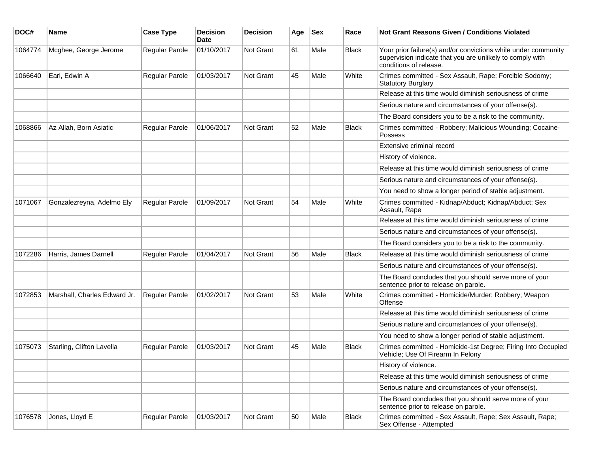| DOC#    | <b>Name</b>                  | <b>Case Type</b>      | <b>Decision</b><br><b>Date</b> | <b>Decision</b> | Age | <b>Sex</b> | Race         | <b>Not Grant Reasons Given / Conditions Violated</b>                                                                                                  |
|---------|------------------------------|-----------------------|--------------------------------|-----------------|-----|------------|--------------|-------------------------------------------------------------------------------------------------------------------------------------------------------|
| 1064774 | Mcghee, George Jerome        | Regular Parole        | 01/10/2017                     | Not Grant       | 61  | Male       | <b>Black</b> | Your prior failure(s) and/or convictions while under community<br>supervision indicate that you are unlikely to comply with<br>conditions of release. |
| 1066640 | Earl, Edwin A                | Regular Parole        | 01/03/2017                     | Not Grant       | 45  | Male       | White        | Crimes committed - Sex Assault, Rape; Forcible Sodomy;<br><b>Statutory Burglary</b>                                                                   |
|         |                              |                       |                                |                 |     |            |              | Release at this time would diminish seriousness of crime                                                                                              |
|         |                              |                       |                                |                 |     |            |              | Serious nature and circumstances of your offense(s).                                                                                                  |
|         |                              |                       |                                |                 |     |            |              | The Board considers you to be a risk to the community.                                                                                                |
| 1068866 | Az Allah, Born Asiatic       | Regular Parole        | 01/06/2017                     | Not Grant       | 52  | Male       | <b>Black</b> | Crimes committed - Robbery; Malicious Wounding; Cocaine-<br>Possess                                                                                   |
|         |                              |                       |                                |                 |     |            |              | Extensive criminal record                                                                                                                             |
|         |                              |                       |                                |                 |     |            |              | History of violence.                                                                                                                                  |
|         |                              |                       |                                |                 |     |            |              | Release at this time would diminish seriousness of crime                                                                                              |
|         |                              |                       |                                |                 |     |            |              | Serious nature and circumstances of your offense(s).                                                                                                  |
|         |                              |                       |                                |                 |     |            |              | You need to show a longer period of stable adjustment.                                                                                                |
| 1071067 | Gonzalezreyna, Adelmo Ely    | <b>Regular Parole</b> | 01/09/2017                     | Not Grant       | 54  | Male       | White        | Crimes committed - Kidnap/Abduct; Kidnap/Abduct; Sex<br>Assault, Rape                                                                                 |
|         |                              |                       |                                |                 |     |            |              | Release at this time would diminish seriousness of crime                                                                                              |
|         |                              |                       |                                |                 |     |            |              | Serious nature and circumstances of your offense(s).                                                                                                  |
|         |                              |                       |                                |                 |     |            |              | The Board considers you to be a risk to the community.                                                                                                |
| 1072286 | Harris, James Darnell        | Regular Parole        | 01/04/2017                     | Not Grant       | 56  | Male       | <b>Black</b> | Release at this time would diminish seriousness of crime                                                                                              |
|         |                              |                       |                                |                 |     |            |              | Serious nature and circumstances of your offense(s).                                                                                                  |
|         |                              |                       |                                |                 |     |            |              | The Board concludes that you should serve more of your<br>sentence prior to release on parole.                                                        |
| 1072853 | Marshall, Charles Edward Jr. | Regular Parole        | 01/02/2017                     | Not Grant       | 53  | Male       | White        | Crimes committed - Homicide/Murder; Robbery; Weapon<br>Offense                                                                                        |
|         |                              |                       |                                |                 |     |            |              | Release at this time would diminish seriousness of crime                                                                                              |
|         |                              |                       |                                |                 |     |            |              | Serious nature and circumstances of your offense(s).                                                                                                  |
|         |                              |                       |                                |                 |     |            |              | You need to show a longer period of stable adjustment.                                                                                                |
| 1075073 | Starling, Clifton Lavella    | Regular Parole        | 01/03/2017                     | Not Grant       | 45  | Male       | <b>Black</b> | Crimes committed - Homicide-1st Degree; Firing Into Occupied<br>Vehicle; Use Of Firearm In Felony                                                     |
|         |                              |                       |                                |                 |     |            |              | History of violence.                                                                                                                                  |
|         |                              |                       |                                |                 |     |            |              | Release at this time would diminish seriousness of crime                                                                                              |
|         |                              |                       |                                |                 |     |            |              | Serious nature and circumstances of your offense(s).                                                                                                  |
|         |                              |                       |                                |                 |     |            |              | The Board concludes that you should serve more of your<br>sentence prior to release on parole.                                                        |
| 1076578 | Jones, Lloyd E               | Regular Parole        | 01/03/2017                     | Not Grant       | 50  | Male       | <b>Black</b> | Crimes committed - Sex Assault, Rape; Sex Assault, Rape;<br>Sex Offense - Attempted                                                                   |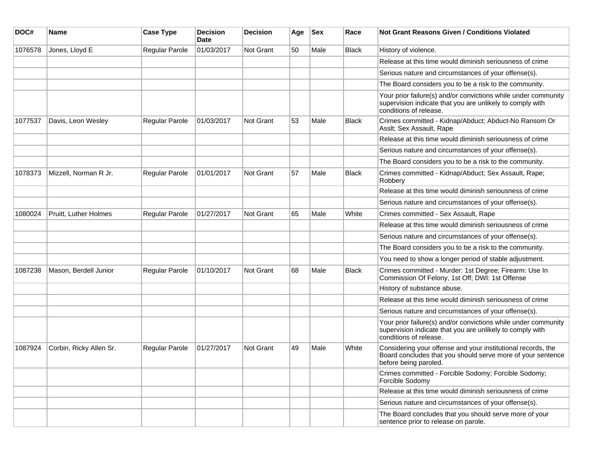| DOC#    | <b>Name</b>             | <b>Case Type</b>      | <b>Decision</b><br>Date | <b>Decision</b>  | Age | <b>Sex</b> | Race         | Not Grant Reasons Given / Conditions Violated                                                                                                         |
|---------|-------------------------|-----------------------|-------------------------|------------------|-----|------------|--------------|-------------------------------------------------------------------------------------------------------------------------------------------------------|
| 1076578 | Jones, Lloyd E          | Regular Parole        | 01/03/2017              | Not Grant        | 50  | Male       | <b>Black</b> | History of violence.                                                                                                                                  |
|         |                         |                       |                         |                  |     |            |              | Release at this time would diminish seriousness of crime                                                                                              |
|         |                         |                       |                         |                  |     |            |              | Serious nature and circumstances of your offense(s).                                                                                                  |
|         |                         |                       |                         |                  |     |            |              | The Board considers you to be a risk to the community.                                                                                                |
|         |                         |                       |                         |                  |     |            |              | Your prior failure(s) and/or convictions while under community<br>supervision indicate that you are unlikely to comply with<br>conditions of release. |
| 1077537 | Davis, Leon Wesley      | Regular Parole        | 01/03/2017              | Not Grant        | 53  | Male       | Black        | Crimes committed - Kidnap/Abduct; Abduct-No Ransom Or<br>Asslt; Sex Assault, Rape                                                                     |
|         |                         |                       |                         |                  |     |            |              | Release at this time would diminish seriousness of crime                                                                                              |
|         |                         |                       |                         |                  |     |            |              | Serious nature and circumstances of your offense(s).                                                                                                  |
|         |                         |                       |                         |                  |     |            |              | The Board considers you to be a risk to the community.                                                                                                |
| 1078373 | Mizzell, Norman R Jr.   | <b>Regular Parole</b> | 01/01/2017              | <b>Not Grant</b> | 57  | Male       | Black        | Crimes committed - Kidnap/Abduct; Sex Assault, Rape;<br>Robbery                                                                                       |
|         |                         |                       |                         |                  |     |            |              | Release at this time would diminish seriousness of crime                                                                                              |
|         |                         |                       |                         |                  |     |            |              | Serious nature and circumstances of your offense(s).                                                                                                  |
| 1080024 | Pruitt, Luther Holmes   | Regular Parole        | 01/27/2017              | <b>Not Grant</b> | 65  | Male       | White        | Crimes committed - Sex Assault, Rape                                                                                                                  |
|         |                         |                       |                         |                  |     |            |              | Release at this time would diminish seriousness of crime                                                                                              |
|         |                         |                       |                         |                  |     |            |              | Serious nature and circumstances of your offense(s).                                                                                                  |
|         |                         |                       |                         |                  |     |            |              | The Board considers you to be a risk to the community.                                                                                                |
|         |                         |                       |                         |                  |     |            |              | You need to show a longer period of stable adjustment.                                                                                                |
| 1087238 | Mason, Berdell Junior   | Regular Parole        | 01/10/2017              | <b>Not Grant</b> | 68  | Male       | Black        | Crimes committed - Murder: 1st Degree; Firearm: Use In<br>Commission Of Felony, 1st Off; DWI: 1st Offense                                             |
|         |                         |                       |                         |                  |     |            |              | History of substance abuse.                                                                                                                           |
|         |                         |                       |                         |                  |     |            |              | Release at this time would diminish seriousness of crime                                                                                              |
|         |                         |                       |                         |                  |     |            |              | Serious nature and circumstances of your offense(s).                                                                                                  |
|         |                         |                       |                         |                  |     |            |              | Your prior failure(s) and/or convictions while under community<br>supervision indicate that you are unlikely to comply with<br>conditions of release. |
| 1087924 | Corbin, Ricky Allen Sr. | Regular Parole        | 01/27/2017              | <b>Not Grant</b> | 49  | Male       | White        | Considering your offense and your institutional records, the<br>Board concludes that you should serve more of your sentence<br>before being paroled.  |
|         |                         |                       |                         |                  |     |            |              | Crimes committed - Forcible Sodomy; Forcible Sodomy;<br>Forcible Sodomy                                                                               |
|         |                         |                       |                         |                  |     |            |              | Release at this time would diminish seriousness of crime                                                                                              |
|         |                         |                       |                         |                  |     |            |              | Serious nature and circumstances of your offense(s).                                                                                                  |
|         |                         |                       |                         |                  |     |            |              | The Board concludes that you should serve more of your<br>sentence prior to release on parole.                                                        |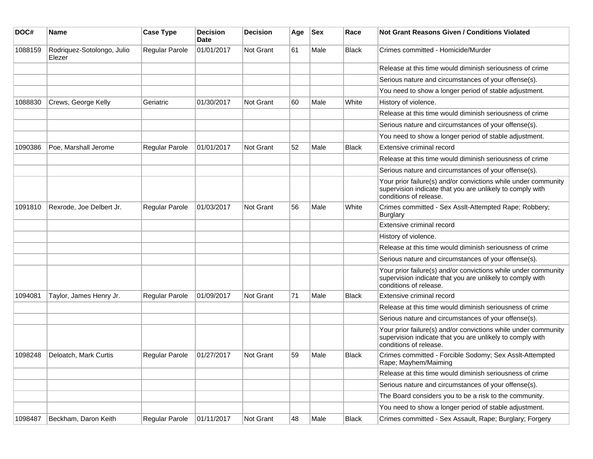| DOC#    | <b>Name</b>                          | <b>Case Type</b>      | <b>Decision</b><br>Date | <b>Decision</b>  | Age | <b>Sex</b> | Race         | Not Grant Reasons Given / Conditions Violated                                                                                                         |
|---------|--------------------------------------|-----------------------|-------------------------|------------------|-----|------------|--------------|-------------------------------------------------------------------------------------------------------------------------------------------------------|
| 1088159 | Rodriquez-Sotolongo, Julio<br>Elezer | Regular Parole        | 01/01/2017              | Not Grant        | 61  | Male       | Black        | Crimes committed - Homicide/Murder                                                                                                                    |
|         |                                      |                       |                         |                  |     |            |              | Release at this time would diminish seriousness of crime                                                                                              |
|         |                                      |                       |                         |                  |     |            |              | Serious nature and circumstances of your offense(s).                                                                                                  |
|         |                                      |                       |                         |                  |     |            |              | You need to show a longer period of stable adjustment.                                                                                                |
| 1088830 | Crews, George Kelly                  | Geriatric             | 01/30/2017              | <b>Not Grant</b> | 60  | Male       | White        | History of violence.                                                                                                                                  |
|         |                                      |                       |                         |                  |     |            |              | Release at this time would diminish seriousness of crime                                                                                              |
|         |                                      |                       |                         |                  |     |            |              | Serious nature and circumstances of your offense(s).                                                                                                  |
|         |                                      |                       |                         |                  |     |            |              | You need to show a longer period of stable adjustment.                                                                                                |
| 1090386 | Poe, Marshall Jerome                 | Regular Parole        | 01/01/2017              | <b>Not Grant</b> | 52  | Male       | Black        | Extensive criminal record                                                                                                                             |
|         |                                      |                       |                         |                  |     |            |              | Release at this time would diminish seriousness of crime                                                                                              |
|         |                                      |                       |                         |                  |     |            |              | Serious nature and circumstances of your offense(s).                                                                                                  |
|         |                                      |                       |                         |                  |     |            |              | Your prior failure(s) and/or convictions while under community<br>supervision indicate that you are unlikely to comply with<br>conditions of release. |
| 1091810 | Rexrode, Joe Delbert Jr.             | <b>Regular Parole</b> | 01/03/2017              | <b>Not Grant</b> | 56  | Male       | White        | Crimes committed - Sex Asslt-Attempted Rape; Robbery;<br><b>Burglary</b>                                                                              |
|         |                                      |                       |                         |                  |     |            |              | Extensive criminal record                                                                                                                             |
|         |                                      |                       |                         |                  |     |            |              | History of violence.                                                                                                                                  |
|         |                                      |                       |                         |                  |     |            |              | Release at this time would diminish seriousness of crime                                                                                              |
|         |                                      |                       |                         |                  |     |            |              | Serious nature and circumstances of your offense(s).                                                                                                  |
|         |                                      |                       |                         |                  |     |            |              | Your prior failure(s) and/or convictions while under community<br>supervision indicate that you are unlikely to comply with<br>conditions of release. |
| 1094081 | Taylor, James Henry Jr.              | Regular Parole        | 01/09/2017              | <b>Not Grant</b> | 71  | Male       | <b>Black</b> | Extensive criminal record                                                                                                                             |
|         |                                      |                       |                         |                  |     |            |              | Release at this time would diminish seriousness of crime                                                                                              |
|         |                                      |                       |                         |                  |     |            |              | Serious nature and circumstances of your offense(s).                                                                                                  |
|         |                                      |                       |                         |                  |     |            |              | Your prior failure(s) and/or convictions while under community<br>supervision indicate that you are unlikely to comply with<br>conditions of release. |
| 1098248 | Deloatch, Mark Curtis                | Regular Parole        | 01/27/2017              | <b>Not Grant</b> | 59  | Male       | Black        | Crimes committed - Forcible Sodomy; Sex Asslt-Attempted<br>Rape; Mayhem/Maiming                                                                       |
|         |                                      |                       |                         |                  |     |            |              | Release at this time would diminish seriousness of crime                                                                                              |
|         |                                      |                       |                         |                  |     |            |              | Serious nature and circumstances of your offense(s).                                                                                                  |
|         |                                      |                       |                         |                  |     |            |              | The Board considers you to be a risk to the community.                                                                                                |
|         |                                      |                       |                         |                  |     |            |              | You need to show a longer period of stable adjustment.                                                                                                |
| 1098487 | Beckham, Daron Keith                 | <b>Regular Parole</b> | 01/11/2017              | Not Grant        | 48  | Male       | Black        | Crimes committed - Sex Assault, Rape; Burglary; Forgery                                                                                               |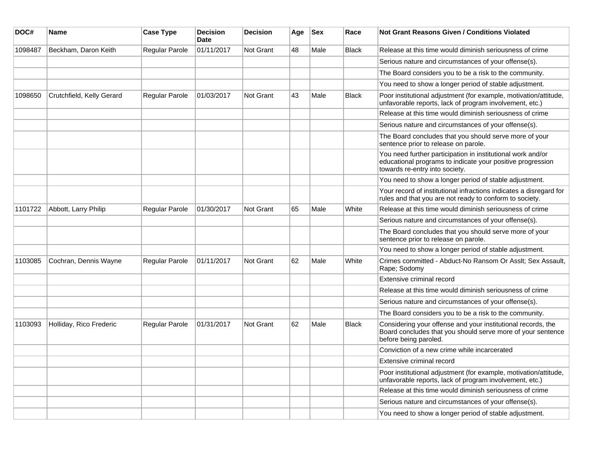| DOC#    | Name                      | <b>Case Type</b>      | <b>Decision</b><br><b>Date</b> | <b>Decision</b> | Age | <b>Sex</b> | Race         | Not Grant Reasons Given / Conditions Violated                                                                                                               |
|---------|---------------------------|-----------------------|--------------------------------|-----------------|-----|------------|--------------|-------------------------------------------------------------------------------------------------------------------------------------------------------------|
| 1098487 | Beckham, Daron Keith      | Regular Parole        | 01/11/2017                     | Not Grant       | 48  | Male       | <b>Black</b> | Release at this time would diminish seriousness of crime                                                                                                    |
|         |                           |                       |                                |                 |     |            |              | Serious nature and circumstances of your offense(s).                                                                                                        |
|         |                           |                       |                                |                 |     |            |              | The Board considers you to be a risk to the community.                                                                                                      |
|         |                           |                       |                                |                 |     |            |              | You need to show a longer period of stable adjustment.                                                                                                      |
| 1098650 | Crutchfield, Kelly Gerard | <b>Regular Parole</b> | 01/03/2017                     | Not Grant       | 43  | Male       | Black        | Poor institutional adjustment (for example, motivation/attitude,<br>unfavorable reports, lack of program involvement, etc.)                                 |
|         |                           |                       |                                |                 |     |            |              | Release at this time would diminish seriousness of crime                                                                                                    |
|         |                           |                       |                                |                 |     |            |              | Serious nature and circumstances of your offense(s).                                                                                                        |
|         |                           |                       |                                |                 |     |            |              | The Board concludes that you should serve more of your<br>sentence prior to release on parole.                                                              |
|         |                           |                       |                                |                 |     |            |              | You need further participation in institutional work and/or<br>educational programs to indicate your positive progression<br>towards re-entry into society. |
|         |                           |                       |                                |                 |     |            |              | You need to show a longer period of stable adjustment.                                                                                                      |
|         |                           |                       |                                |                 |     |            |              | Your record of institutional infractions indicates a disregard for<br>rules and that you are not ready to conform to society.                               |
| 1101722 | Abbott, Larry Philip      | <b>Regular Parole</b> | 01/30/2017                     | Not Grant       | 65  | Male       | White        | Release at this time would diminish seriousness of crime                                                                                                    |
|         |                           |                       |                                |                 |     |            |              | Serious nature and circumstances of your offense(s).                                                                                                        |
|         |                           |                       |                                |                 |     |            |              | The Board concludes that you should serve more of your<br>sentence prior to release on parole.                                                              |
|         |                           |                       |                                |                 |     |            |              | You need to show a longer period of stable adjustment.                                                                                                      |
| 1103085 | Cochran, Dennis Wayne     | <b>Regular Parole</b> | 01/11/2017                     | Not Grant       | 62  | Male       | White        | Crimes committed - Abduct-No Ransom Or Asslt; Sex Assault,<br>Rape; Sodomy                                                                                  |
|         |                           |                       |                                |                 |     |            |              | Extensive criminal record                                                                                                                                   |
|         |                           |                       |                                |                 |     |            |              | Release at this time would diminish seriousness of crime                                                                                                    |
|         |                           |                       |                                |                 |     |            |              | Serious nature and circumstances of your offense(s).                                                                                                        |
|         |                           |                       |                                |                 |     |            |              | The Board considers you to be a risk to the community.                                                                                                      |
| 1103093 | Holliday, Rico Frederic   | <b>Regular Parole</b> | 01/31/2017                     | Not Grant       | 62  | Male       | Black        | Considering your offense and your institutional records, the<br>Board concludes that you should serve more of your sentence<br>before being paroled.        |
|         |                           |                       |                                |                 |     |            |              | Conviction of a new crime while incarcerated                                                                                                                |
|         |                           |                       |                                |                 |     |            |              | Extensive criminal record                                                                                                                                   |
|         |                           |                       |                                |                 |     |            |              | Poor institutional adjustment (for example, motivation/attitude,<br>unfavorable reports, lack of program involvement, etc.)                                 |
|         |                           |                       |                                |                 |     |            |              | Release at this time would diminish seriousness of crime                                                                                                    |
|         |                           |                       |                                |                 |     |            |              | Serious nature and circumstances of your offense(s).                                                                                                        |
|         |                           |                       |                                |                 |     |            |              | You need to show a longer period of stable adjustment.                                                                                                      |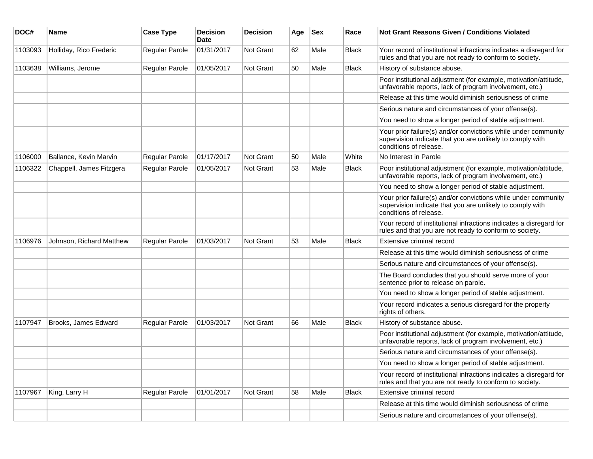| DOC#    | <b>Name</b>              | <b>Case Type</b> | <b>Decision</b><br>Date | <b>Decision</b> | Age | <b>Sex</b> | Race         | <b>Not Grant Reasons Given / Conditions Violated</b>                                                                                                  |
|---------|--------------------------|------------------|-------------------------|-----------------|-----|------------|--------------|-------------------------------------------------------------------------------------------------------------------------------------------------------|
| 1103093 | Holliday, Rico Frederic  | Regular Parole   | 01/31/2017              | Not Grant       | 62  | Male       | <b>Black</b> | Your record of institutional infractions indicates a disregard for<br>rules and that you are not ready to conform to society.                         |
| 1103638 | Williams, Jerome         | Regular Parole   | 01/05/2017              | Not Grant       | 50  | Male       | <b>Black</b> | History of substance abuse.                                                                                                                           |
|         |                          |                  |                         |                 |     |            |              | Poor institutional adjustment (for example, motivation/attitude,<br>unfavorable reports, lack of program involvement, etc.)                           |
|         |                          |                  |                         |                 |     |            |              | Release at this time would diminish seriousness of crime                                                                                              |
|         |                          |                  |                         |                 |     |            |              | Serious nature and circumstances of your offense(s).                                                                                                  |
|         |                          |                  |                         |                 |     |            |              | You need to show a longer period of stable adjustment.                                                                                                |
|         |                          |                  |                         |                 |     |            |              | Your prior failure(s) and/or convictions while under community<br>supervision indicate that you are unlikely to comply with<br>conditions of release. |
| 1106000 | Ballance, Kevin Marvin   | Regular Parole   | 01/17/2017              | Not Grant       | 50  | Male       | White        | No Interest in Parole                                                                                                                                 |
| 1106322 | Chappell, James Fitzgera | Regular Parole   | 01/05/2017              | Not Grant       | 53  | Male       | <b>Black</b> | Poor institutional adjustment (for example, motivation/attitude,<br>unfavorable reports, lack of program involvement, etc.)                           |
|         |                          |                  |                         |                 |     |            |              | You need to show a longer period of stable adjustment.                                                                                                |
|         |                          |                  |                         |                 |     |            |              | Your prior failure(s) and/or convictions while under community<br>supervision indicate that you are unlikely to comply with<br>conditions of release. |
|         |                          |                  |                         |                 |     |            |              | Your record of institutional infractions indicates a disregard for<br>rules and that you are not ready to conform to society.                         |
| 1106976 | Johnson, Richard Matthew | Regular Parole   | 01/03/2017              | Not Grant       | 53  | Male       | <b>Black</b> | Extensive criminal record                                                                                                                             |
|         |                          |                  |                         |                 |     |            |              | Release at this time would diminish seriousness of crime                                                                                              |
|         |                          |                  |                         |                 |     |            |              | Serious nature and circumstances of your offense(s).                                                                                                  |
|         |                          |                  |                         |                 |     |            |              | The Board concludes that you should serve more of your<br>sentence prior to release on parole.                                                        |
|         |                          |                  |                         |                 |     |            |              | You need to show a longer period of stable adjustment.                                                                                                |
|         |                          |                  |                         |                 |     |            |              | Your record indicates a serious disregard for the property<br>rights of others.                                                                       |
| 1107947 | Brooks, James Edward     | Regular Parole   | 01/03/2017              | Not Grant       | 66  | Male       | <b>Black</b> | History of substance abuse.                                                                                                                           |
|         |                          |                  |                         |                 |     |            |              | Poor institutional adjustment (for example, motivation/attitude,<br>unfavorable reports, lack of program involvement, etc.)                           |
|         |                          |                  |                         |                 |     |            |              | Serious nature and circumstances of your offense(s).                                                                                                  |
|         |                          |                  |                         |                 |     |            |              | You need to show a longer period of stable adjustment.                                                                                                |
|         |                          |                  |                         |                 |     |            |              | Your record of institutional infractions indicates a disregard for<br>rules and that you are not ready to conform to society.                         |
| 1107967 | King, Larry H            | Regular Parole   | 01/01/2017              | Not Grant       | 58  | Male       | <b>Black</b> | Extensive criminal record                                                                                                                             |
|         |                          |                  |                         |                 |     |            |              | Release at this time would diminish seriousness of crime                                                                                              |
|         |                          |                  |                         |                 |     |            |              | Serious nature and circumstances of your offense(s).                                                                                                  |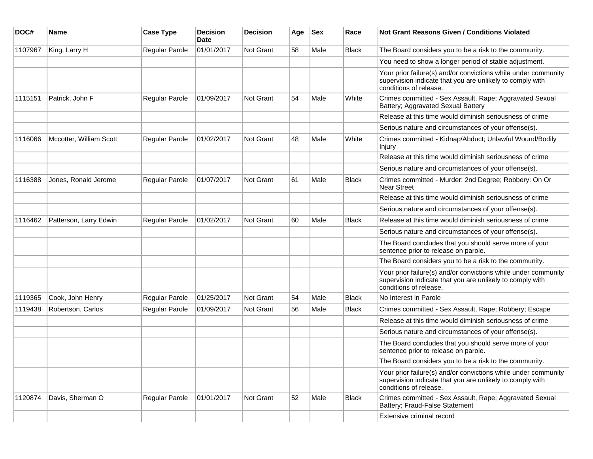| DOC#    | Name                    | <b>Case Type</b>      | <b>Decision</b><br><b>Date</b> | <b>Decision</b> | Age | <b>Sex</b> | Race         | Not Grant Reasons Given / Conditions Violated                                                                                                         |
|---------|-------------------------|-----------------------|--------------------------------|-----------------|-----|------------|--------------|-------------------------------------------------------------------------------------------------------------------------------------------------------|
| 1107967 | King, Larry H           | Regular Parole        | 01/01/2017                     | Not Grant       | 58  | Male       | Black        | The Board considers you to be a risk to the community.                                                                                                |
|         |                         |                       |                                |                 |     |            |              | You need to show a longer period of stable adjustment.                                                                                                |
|         |                         |                       |                                |                 |     |            |              | Your prior failure(s) and/or convictions while under community<br>supervision indicate that you are unlikely to comply with<br>conditions of release. |
| 1115151 | Patrick, John F         | Regular Parole        | 01/09/2017                     | Not Grant       | 54  | Male       | White        | Crimes committed - Sex Assault, Rape; Aggravated Sexual<br>Battery; Aggravated Sexual Battery                                                         |
|         |                         |                       |                                |                 |     |            |              | Release at this time would diminish seriousness of crime                                                                                              |
|         |                         |                       |                                |                 |     |            |              | Serious nature and circumstances of your offense(s).                                                                                                  |
| 1116066 | Mccotter, William Scott | <b>Regular Parole</b> | 01/02/2017                     | Not Grant       | 48  | Male       | White        | Crimes committed - Kidnap/Abduct; Unlawful Wound/Bodily<br>Injury                                                                                     |
|         |                         |                       |                                |                 |     |            |              | Release at this time would diminish seriousness of crime                                                                                              |
|         |                         |                       |                                |                 |     |            |              | Serious nature and circumstances of your offense(s).                                                                                                  |
| 1116388 | Jones, Ronald Jerome    | <b>Regular Parole</b> | 01/07/2017                     | Not Grant       | 61  | Male       | Black        | Crimes committed - Murder: 2nd Degree; Robbery: On Or<br><b>Near Street</b>                                                                           |
|         |                         |                       |                                |                 |     |            |              | Release at this time would diminish seriousness of crime                                                                                              |
|         |                         |                       |                                |                 |     |            |              | Serious nature and circumstances of your offense(s).                                                                                                  |
| 1116462 | Patterson, Larry Edwin  | <b>Regular Parole</b> | 01/02/2017                     | Not Grant       | 60  | Male       | <b>Black</b> | Release at this time would diminish seriousness of crime                                                                                              |
|         |                         |                       |                                |                 |     |            |              | Serious nature and circumstances of your offense(s).                                                                                                  |
|         |                         |                       |                                |                 |     |            |              | The Board concludes that you should serve more of your<br>sentence prior to release on parole.                                                        |
|         |                         |                       |                                |                 |     |            |              | The Board considers you to be a risk to the community.                                                                                                |
|         |                         |                       |                                |                 |     |            |              | Your prior failure(s) and/or convictions while under community<br>supervision indicate that you are unlikely to comply with<br>conditions of release. |
| 1119365 | Cook, John Henry        | Regular Parole        | 01/25/2017                     | Not Grant       | 54  | Male       | <b>Black</b> | No Interest in Parole                                                                                                                                 |
| 1119438 | Robertson, Carlos       | Regular Parole        | 01/09/2017                     | Not Grant       | 56  | Male       | <b>Black</b> | Crimes committed - Sex Assault, Rape; Robbery; Escape                                                                                                 |
|         |                         |                       |                                |                 |     |            |              | Release at this time would diminish seriousness of crime                                                                                              |
|         |                         |                       |                                |                 |     |            |              | Serious nature and circumstances of your offense(s).                                                                                                  |
|         |                         |                       |                                |                 |     |            |              | The Board concludes that you should serve more of your<br>sentence prior to release on parole.                                                        |
|         |                         |                       |                                |                 |     |            |              | The Board considers you to be a risk to the community.                                                                                                |
|         |                         |                       |                                |                 |     |            |              | Your prior failure(s) and/or convictions while under community<br>supervision indicate that you are unlikely to comply with<br>conditions of release. |
| 1120874 | Davis, Sherman O        | Regular Parole        | 01/01/2017                     | Not Grant       | 52  | Male       | Black        | Crimes committed - Sex Assault, Rape; Aggravated Sexual<br>Battery; Fraud-False Statement                                                             |
|         |                         |                       |                                |                 |     |            |              | Extensive criminal record                                                                                                                             |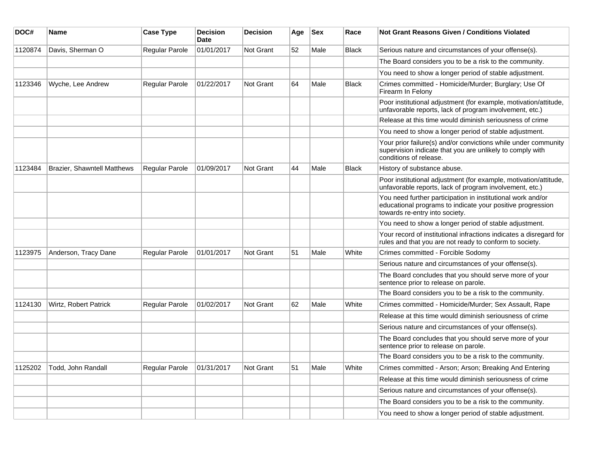| DOC#    | <b>Name</b>                 | <b>Case Type</b> | <b>Decision</b><br><b>Date</b> | <b>Decision</b>  | Age | <b>Sex</b> | Race         | <b>Not Grant Reasons Given / Conditions Violated</b>                                                                                                        |
|---------|-----------------------------|------------------|--------------------------------|------------------|-----|------------|--------------|-------------------------------------------------------------------------------------------------------------------------------------------------------------|
| 1120874 | Davis, Sherman O            | Regular Parole   | 01/01/2017                     | <b>Not Grant</b> | 52  | Male       | <b>Black</b> | Serious nature and circumstances of your offense(s).                                                                                                        |
|         |                             |                  |                                |                  |     |            |              | The Board considers you to be a risk to the community.                                                                                                      |
|         |                             |                  |                                |                  |     |            |              | You need to show a longer period of stable adjustment.                                                                                                      |
| 1123346 | Wyche, Lee Andrew           | Regular Parole   | 01/22/2017                     | Not Grant        | 64  | Male       | <b>Black</b> | Crimes committed - Homicide/Murder; Burglary; Use Of<br>Firearm In Felony                                                                                   |
|         |                             |                  |                                |                  |     |            |              | Poor institutional adjustment (for example, motivation/attitude,<br>unfavorable reports, lack of program involvement, etc.)                                 |
|         |                             |                  |                                |                  |     |            |              | Release at this time would diminish seriousness of crime                                                                                                    |
|         |                             |                  |                                |                  |     |            |              | You need to show a longer period of stable adjustment.                                                                                                      |
|         |                             |                  |                                |                  |     |            |              | Your prior failure(s) and/or convictions while under community<br>supervision indicate that you are unlikely to comply with<br>conditions of release.       |
| 1123484 | Brazier, Shawntell Matthews | Regular Parole   | 01/09/2017                     | Not Grant        | 44  | Male       | <b>Black</b> | History of substance abuse.                                                                                                                                 |
|         |                             |                  |                                |                  |     |            |              | Poor institutional adjustment (for example, motivation/attitude,<br>unfavorable reports, lack of program involvement, etc.)                                 |
|         |                             |                  |                                |                  |     |            |              | You need further participation in institutional work and/or<br>educational programs to indicate your positive progression<br>towards re-entry into society. |
|         |                             |                  |                                |                  |     |            |              | You need to show a longer period of stable adjustment.                                                                                                      |
|         |                             |                  |                                |                  |     |            |              | Your record of institutional infractions indicates a disregard for<br>rules and that you are not ready to conform to society.                               |
| 1123975 | Anderson, Tracy Dane        | Regular Parole   | 01/01/2017                     | <b>Not Grant</b> | 51  | Male       | White        | Crimes committed - Forcible Sodomy                                                                                                                          |
|         |                             |                  |                                |                  |     |            |              | Serious nature and circumstances of your offense(s).                                                                                                        |
|         |                             |                  |                                |                  |     |            |              | The Board concludes that you should serve more of your<br>sentence prior to release on parole.                                                              |
|         |                             |                  |                                |                  |     |            |              | The Board considers you to be a risk to the community.                                                                                                      |
| 1124130 | Wirtz, Robert Patrick       | Regular Parole   | 01/02/2017                     | Not Grant        | 62  | Male       | White        | Crimes committed - Homicide/Murder; Sex Assault, Rape                                                                                                       |
|         |                             |                  |                                |                  |     |            |              | Release at this time would diminish seriousness of crime                                                                                                    |
|         |                             |                  |                                |                  |     |            |              | Serious nature and circumstances of your offense(s).                                                                                                        |
|         |                             |                  |                                |                  |     |            |              | The Board concludes that you should serve more of your<br>sentence prior to release on parole.                                                              |
|         |                             |                  |                                |                  |     |            |              | The Board considers you to be a risk to the community.                                                                                                      |
| 1125202 | Todd, John Randall          | Regular Parole   | 01/31/2017                     | <b>Not Grant</b> | 51  | Male       | White        | Crimes committed - Arson; Arson; Breaking And Entering                                                                                                      |
|         |                             |                  |                                |                  |     |            |              | Release at this time would diminish seriousness of crime                                                                                                    |
|         |                             |                  |                                |                  |     |            |              | Serious nature and circumstances of your offense(s).                                                                                                        |
|         |                             |                  |                                |                  |     |            |              | The Board considers you to be a risk to the community.                                                                                                      |
|         |                             |                  |                                |                  |     |            |              | You need to show a longer period of stable adjustment.                                                                                                      |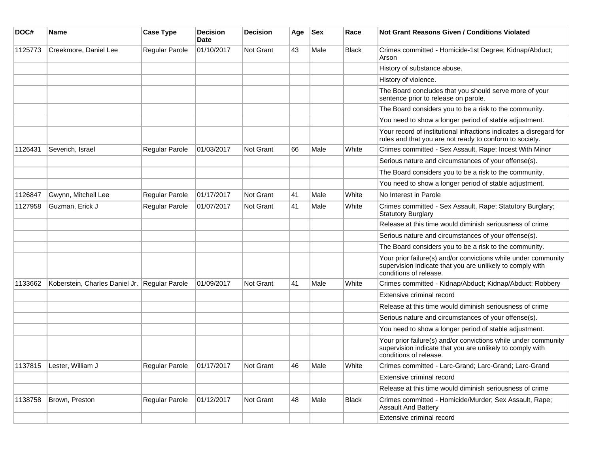| DOC#    | <b>Name</b>                                   | <b>Case Type</b> | <b>Decision</b><br><b>Date</b> | <b>Decision</b>  | Age | <b>Sex</b> | Race         | <b>Not Grant Reasons Given / Conditions Violated</b>                                                                                                  |
|---------|-----------------------------------------------|------------------|--------------------------------|------------------|-----|------------|--------------|-------------------------------------------------------------------------------------------------------------------------------------------------------|
| 1125773 | Creekmore, Daniel Lee                         | Regular Parole   | 01/10/2017                     | Not Grant        | 43  | Male       | <b>Black</b> | Crimes committed - Homicide-1st Degree; Kidnap/Abduct;<br>Arson                                                                                       |
|         |                                               |                  |                                |                  |     |            |              | History of substance abuse.                                                                                                                           |
|         |                                               |                  |                                |                  |     |            |              | History of violence.                                                                                                                                  |
|         |                                               |                  |                                |                  |     |            |              | The Board concludes that you should serve more of your<br>sentence prior to release on parole.                                                        |
|         |                                               |                  |                                |                  |     |            |              | The Board considers you to be a risk to the community.                                                                                                |
|         |                                               |                  |                                |                  |     |            |              | You need to show a longer period of stable adjustment.                                                                                                |
|         |                                               |                  |                                |                  |     |            |              | Your record of institutional infractions indicates a disregard for<br>rules and that you are not ready to conform to society.                         |
| 1126431 | Severich, Israel                              | Regular Parole   | 01/03/2017                     | Not Grant        | 66  | Male       | White        | Crimes committed - Sex Assault, Rape; Incest With Minor                                                                                               |
|         |                                               |                  |                                |                  |     |            |              | Serious nature and circumstances of your offense(s).                                                                                                  |
|         |                                               |                  |                                |                  |     |            |              | The Board considers you to be a risk to the community.                                                                                                |
|         |                                               |                  |                                |                  |     |            |              | You need to show a longer period of stable adjustment.                                                                                                |
| 1126847 | Gwynn, Mitchell Lee                           | Regular Parole   | 01/17/2017                     | <b>Not Grant</b> | 41  | Male       | White        | No Interest in Parole                                                                                                                                 |
| 1127958 | Guzman, Erick J                               | Regular Parole   | 01/07/2017                     | Not Grant        | 41  | Male       | White        | Crimes committed - Sex Assault, Rape; Statutory Burglary;<br><b>Statutory Burglary</b>                                                                |
|         |                                               |                  |                                |                  |     |            |              | Release at this time would diminish seriousness of crime                                                                                              |
|         |                                               |                  |                                |                  |     |            |              | Serious nature and circumstances of your offense(s).                                                                                                  |
|         |                                               |                  |                                |                  |     |            |              | The Board considers you to be a risk to the community.                                                                                                |
|         |                                               |                  |                                |                  |     |            |              | Your prior failure(s) and/or convictions while under community<br>supervision indicate that you are unlikely to comply with<br>conditions of release. |
| 1133662 | Koberstein, Charles Daniel Jr. Regular Parole |                  | 01/09/2017                     | Not Grant        | 41  | Male       | White        | Crimes committed - Kidnap/Abduct; Kidnap/Abduct; Robbery                                                                                              |
|         |                                               |                  |                                |                  |     |            |              | Extensive criminal record                                                                                                                             |
|         |                                               |                  |                                |                  |     |            |              | Release at this time would diminish seriousness of crime                                                                                              |
|         |                                               |                  |                                |                  |     |            |              | Serious nature and circumstances of your offense(s).                                                                                                  |
|         |                                               |                  |                                |                  |     |            |              | You need to show a longer period of stable adjustment.                                                                                                |
|         |                                               |                  |                                |                  |     |            |              | Your prior failure(s) and/or convictions while under community<br>supervision indicate that you are unlikely to comply with<br>conditions of release. |
| 1137815 | Lester, William J                             | Regular Parole   | 01/17/2017                     | Not Grant        | 46  | ∣Male      | White        | Crimes committed - Larc-Grand; Larc-Grand; Larc-Grand                                                                                                 |
|         |                                               |                  |                                |                  |     |            |              | Extensive criminal record                                                                                                                             |
|         |                                               |                  |                                |                  |     |            |              | Release at this time would diminish seriousness of crime                                                                                              |
| 1138758 | Brown, Preston                                | Regular Parole   | 01/12/2017                     | Not Grant        | 48  | Male       | Black        | Crimes committed - Homicide/Murder; Sex Assault, Rape;<br><b>Assault And Battery</b>                                                                  |
|         |                                               |                  |                                |                  |     |            |              | Extensive criminal record                                                                                                                             |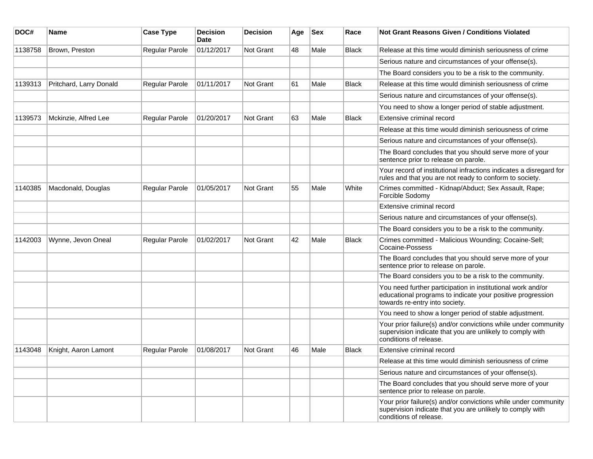| DOC#    | <b>Name</b>             | <b>Case Type</b>      | <b>Decision</b><br>Date | <b>Decision</b> | Age | <b>Sex</b> | Race         | Not Grant Reasons Given / Conditions Violated                                                                                                               |
|---------|-------------------------|-----------------------|-------------------------|-----------------|-----|------------|--------------|-------------------------------------------------------------------------------------------------------------------------------------------------------------|
| 1138758 | Brown, Preston          | Regular Parole        | 01/12/2017              | Not Grant       | 48  | Male       | <b>Black</b> | Release at this time would diminish seriousness of crime                                                                                                    |
|         |                         |                       |                         |                 |     |            |              | Serious nature and circumstances of your offense(s).                                                                                                        |
|         |                         |                       |                         |                 |     |            |              | The Board considers you to be a risk to the community.                                                                                                      |
| 1139313 | Pritchard, Larry Donald | Regular Parole        | 01/11/2017              | Not Grant       | 61  | Male       | <b>Black</b> | Release at this time would diminish seriousness of crime                                                                                                    |
|         |                         |                       |                         |                 |     |            |              | Serious nature and circumstances of your offense(s).                                                                                                        |
|         |                         |                       |                         |                 |     |            |              | You need to show a longer period of stable adjustment.                                                                                                      |
| 1139573 | Mckinzie, Alfred Lee    | <b>Regular Parole</b> | 01/20/2017              | Not Grant       | 63  | Male       | <b>Black</b> | Extensive criminal record                                                                                                                                   |
|         |                         |                       |                         |                 |     |            |              | Release at this time would diminish seriousness of crime                                                                                                    |
|         |                         |                       |                         |                 |     |            |              | Serious nature and circumstances of your offense(s).                                                                                                        |
|         |                         |                       |                         |                 |     |            |              | The Board concludes that you should serve more of your<br>sentence prior to release on parole.                                                              |
|         |                         |                       |                         |                 |     |            |              | Your record of institutional infractions indicates a disregard for<br>rules and that you are not ready to conform to society.                               |
| 1140385 | Macdonald, Douglas      | Regular Parole        | 01/05/2017              | Not Grant       | 55  | Male       | White        | Crimes committed - Kidnap/Abduct; Sex Assault, Rape;<br>Forcible Sodomy                                                                                     |
|         |                         |                       |                         |                 |     |            |              | Extensive criminal record                                                                                                                                   |
|         |                         |                       |                         |                 |     |            |              | Serious nature and circumstances of your offense(s).                                                                                                        |
|         |                         |                       |                         |                 |     |            |              | The Board considers you to be a risk to the community.                                                                                                      |
| 1142003 | Wynne, Jevon Oneal      | <b>Regular Parole</b> | 01/02/2017              | Not Grant       | 42  | Male       | <b>Black</b> | Crimes committed - Malicious Wounding; Cocaine-Sell;<br>Cocaine-Possess                                                                                     |
|         |                         |                       |                         |                 |     |            |              | The Board concludes that you should serve more of your<br>sentence prior to release on parole.                                                              |
|         |                         |                       |                         |                 |     |            |              | The Board considers you to be a risk to the community.                                                                                                      |
|         |                         |                       |                         |                 |     |            |              | You need further participation in institutional work and/or<br>educational programs to indicate your positive progression<br>towards re-entry into society. |
|         |                         |                       |                         |                 |     |            |              | You need to show a longer period of stable adjustment.                                                                                                      |
|         |                         |                       |                         |                 |     |            |              | Your prior failure(s) and/or convictions while under community<br>supervision indicate that you are unlikely to comply with<br>conditions of release.       |
| 1143048 | Knight, Aaron Lamont    | Regular Parole        | 01/08/2017              | Not Grant       | 46  | Male       | <b>Black</b> | Extensive criminal record                                                                                                                                   |
|         |                         |                       |                         |                 |     |            |              | Release at this time would diminish seriousness of crime                                                                                                    |
|         |                         |                       |                         |                 |     |            |              | Serious nature and circumstances of your offense(s).                                                                                                        |
|         |                         |                       |                         |                 |     |            |              | The Board concludes that you should serve more of your<br>sentence prior to release on parole.                                                              |
|         |                         |                       |                         |                 |     |            |              | Your prior failure(s) and/or convictions while under community<br>supervision indicate that you are unlikely to comply with<br>conditions of release.       |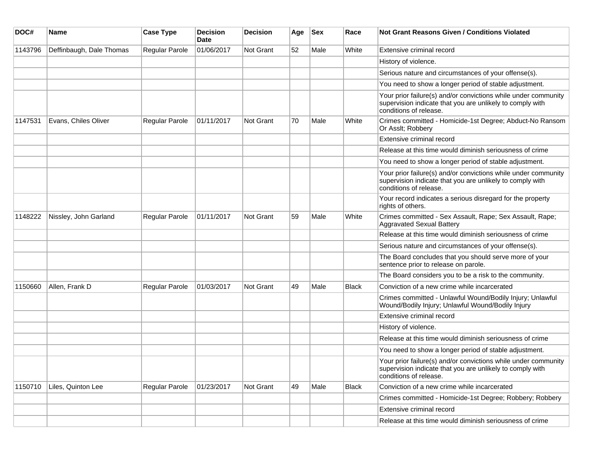| DOC#    | Name                     | <b>Case Type</b>      | <b>Decision</b><br><b>Date</b> | <b>Decision</b> | Age | <b>Sex</b> | Race         | <b>Not Grant Reasons Given / Conditions Violated</b>                                                                                                  |
|---------|--------------------------|-----------------------|--------------------------------|-----------------|-----|------------|--------------|-------------------------------------------------------------------------------------------------------------------------------------------------------|
| 1143796 | Deffinbaugh, Dale Thomas | Regular Parole        | 01/06/2017                     | Not Grant       | 52  | Male       | White        | Extensive criminal record                                                                                                                             |
|         |                          |                       |                                |                 |     |            |              | History of violence.                                                                                                                                  |
|         |                          |                       |                                |                 |     |            |              | Serious nature and circumstances of your offense(s).                                                                                                  |
|         |                          |                       |                                |                 |     |            |              | You need to show a longer period of stable adjustment.                                                                                                |
|         |                          |                       |                                |                 |     |            |              | Your prior failure(s) and/or convictions while under community<br>supervision indicate that you are unlikely to comply with<br>conditions of release. |
| 1147531 | Evans, Chiles Oliver     | <b>Regular Parole</b> | 01/11/2017                     | Not Grant       | 70  | Male       | White        | Crimes committed - Homicide-1st Degree; Abduct-No Ransom<br>Or Asslt; Robbery                                                                         |
|         |                          |                       |                                |                 |     |            |              | Extensive criminal record                                                                                                                             |
|         |                          |                       |                                |                 |     |            |              | Release at this time would diminish seriousness of crime                                                                                              |
|         |                          |                       |                                |                 |     |            |              | You need to show a longer period of stable adjustment.                                                                                                |
|         |                          |                       |                                |                 |     |            |              | Your prior failure(s) and/or convictions while under community<br>supervision indicate that you are unlikely to comply with<br>conditions of release. |
|         |                          |                       |                                |                 |     |            |              | Your record indicates a serious disregard for the property<br>rights of others.                                                                       |
| 1148222 | Nissley, John Garland    | <b>Regular Parole</b> | 01/11/2017                     | Not Grant       | 59  | Male       | White        | Crimes committed - Sex Assault, Rape; Sex Assault, Rape;<br><b>Aggravated Sexual Battery</b>                                                          |
|         |                          |                       |                                |                 |     |            |              | Release at this time would diminish seriousness of crime                                                                                              |
|         |                          |                       |                                |                 |     |            |              | Serious nature and circumstances of your offense(s).                                                                                                  |
|         |                          |                       |                                |                 |     |            |              | The Board concludes that you should serve more of your<br>sentence prior to release on parole.                                                        |
|         |                          |                       |                                |                 |     |            |              | The Board considers you to be a risk to the community.                                                                                                |
| 1150660 | Allen, Frank D           | Regular Parole        | 01/03/2017                     | Not Grant       | 49  | Male       | <b>Black</b> | Conviction of a new crime while incarcerated                                                                                                          |
|         |                          |                       |                                |                 |     |            |              | Crimes committed - Unlawful Wound/Bodily Injury; Unlawful<br>Wound/Bodily Injury; Unlawful Wound/Bodily Injury                                        |
|         |                          |                       |                                |                 |     |            |              | Extensive criminal record                                                                                                                             |
|         |                          |                       |                                |                 |     |            |              | History of violence.                                                                                                                                  |
|         |                          |                       |                                |                 |     |            |              | Release at this time would diminish seriousness of crime                                                                                              |
|         |                          |                       |                                |                 |     |            |              | You need to show a longer period of stable adjustment.                                                                                                |
|         |                          |                       |                                |                 |     |            |              | Your prior failure(s) and/or convictions while under community<br>supervision indicate that you are unlikely to comply with<br>conditions of release. |
| 1150710 | Liles, Quinton Lee       | <b>Regular Parole</b> | 01/23/2017                     | Not Grant       | 49  | Male       | Black        | Conviction of a new crime while incarcerated                                                                                                          |
|         |                          |                       |                                |                 |     |            |              | Crimes committed - Homicide-1st Degree; Robbery; Robbery                                                                                              |
|         |                          |                       |                                |                 |     |            |              | Extensive criminal record                                                                                                                             |
|         |                          |                       |                                |                 |     |            |              | Release at this time would diminish seriousness of crime                                                                                              |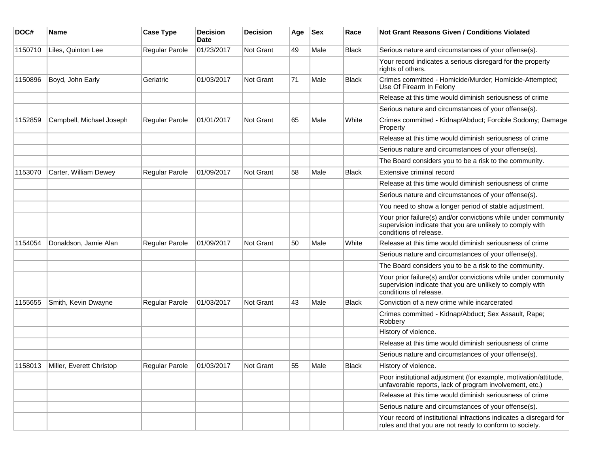| DOC#    | <b>Name</b>              | <b>Case Type</b> | <b>Decision</b><br><b>Date</b> | <b>Decision</b> | Age | <b>Sex</b> | Race         | <b>Not Grant Reasons Given / Conditions Violated</b>                                                                                                  |
|---------|--------------------------|------------------|--------------------------------|-----------------|-----|------------|--------------|-------------------------------------------------------------------------------------------------------------------------------------------------------|
| 1150710 | Liles, Quinton Lee       | Regular Parole   | 01/23/2017                     | Not Grant       | 49  | Male       | <b>Black</b> | Serious nature and circumstances of your offense(s).                                                                                                  |
|         |                          |                  |                                |                 |     |            |              | Your record indicates a serious disregard for the property<br>rights of others.                                                                       |
| 1150896 | Boyd, John Early         | Geriatric        | 01/03/2017                     | Not Grant       | 71  | Male       | <b>Black</b> | Crimes committed - Homicide/Murder; Homicide-Attempted;<br>Use Of Firearm In Felony                                                                   |
|         |                          |                  |                                |                 |     |            |              | Release at this time would diminish seriousness of crime                                                                                              |
|         |                          |                  |                                |                 |     |            |              | Serious nature and circumstances of your offense(s).                                                                                                  |
| 1152859 | Campbell, Michael Joseph | Regular Parole   | 01/01/2017                     | Not Grant       | 65  | Male       | White        | Crimes committed - Kidnap/Abduct; Forcible Sodomy; Damage<br>Property                                                                                 |
|         |                          |                  |                                |                 |     |            |              | Release at this time would diminish seriousness of crime                                                                                              |
|         |                          |                  |                                |                 |     |            |              | Serious nature and circumstances of your offense(s).                                                                                                  |
|         |                          |                  |                                |                 |     |            |              | The Board considers you to be a risk to the community.                                                                                                |
| 1153070 | Carter, William Dewey    | Regular Parole   | 01/09/2017                     | Not Grant       | 58  | Male       | <b>Black</b> | Extensive criminal record                                                                                                                             |
|         |                          |                  |                                |                 |     |            |              | Release at this time would diminish seriousness of crime                                                                                              |
|         |                          |                  |                                |                 |     |            |              | Serious nature and circumstances of your offense(s).                                                                                                  |
|         |                          |                  |                                |                 |     |            |              | You need to show a longer period of stable adjustment.                                                                                                |
|         |                          |                  |                                |                 |     |            |              | Your prior failure(s) and/or convictions while under community<br>supervision indicate that you are unlikely to comply with<br>conditions of release. |
| 1154054 | Donaldson, Jamie Alan    | Regular Parole   | 01/09/2017                     | Not Grant       | 50  | Male       | White        | Release at this time would diminish seriousness of crime                                                                                              |
|         |                          |                  |                                |                 |     |            |              | Serious nature and circumstances of your offense(s).                                                                                                  |
|         |                          |                  |                                |                 |     |            |              | The Board considers you to be a risk to the community.                                                                                                |
|         |                          |                  |                                |                 |     |            |              | Your prior failure(s) and/or convictions while under community<br>supervision indicate that you are unlikely to comply with<br>conditions of release. |
| 1155655 | Smith, Kevin Dwayne      | Regular Parole   | 01/03/2017                     | Not Grant       | 43  | Male       | <b>Black</b> | Conviction of a new crime while incarcerated                                                                                                          |
|         |                          |                  |                                |                 |     |            |              | Crimes committed - Kidnap/Abduct; Sex Assault, Rape;<br>Robbery                                                                                       |
|         |                          |                  |                                |                 |     |            |              | History of violence.                                                                                                                                  |
|         |                          |                  |                                |                 |     |            |              | Release at this time would diminish seriousness of crime                                                                                              |
|         |                          |                  |                                |                 |     |            |              | Serious nature and circumstances of your offense(s).                                                                                                  |
| 1158013 | Miller, Everett Christop | Regular Parole   | 01/03/2017                     | Not Grant       | 55  | Male       | <b>Black</b> | History of violence.                                                                                                                                  |
|         |                          |                  |                                |                 |     |            |              | Poor institutional adjustment (for example, motivation/attitude,<br>unfavorable reports, lack of program involvement, etc.)                           |
|         |                          |                  |                                |                 |     |            |              | Release at this time would diminish seriousness of crime                                                                                              |
|         |                          |                  |                                |                 |     |            |              | Serious nature and circumstances of your offense(s).                                                                                                  |
|         |                          |                  |                                |                 |     |            |              | Your record of institutional infractions indicates a disregard for<br>rules and that you are not ready to conform to society.                         |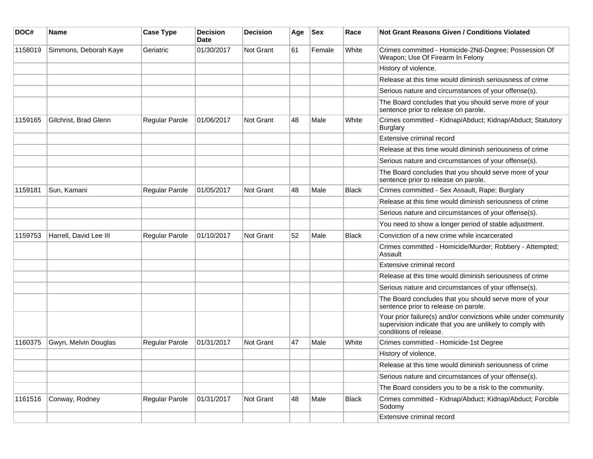| DOC#    | Name                   | <b>Case Type</b> | <b>Decision</b><br><b>Date</b> | <b>Decision</b>  | Age | <b>Sex</b> | Race  | <b>Not Grant Reasons Given / Conditions Violated</b>                                                                                                  |
|---------|------------------------|------------------|--------------------------------|------------------|-----|------------|-------|-------------------------------------------------------------------------------------------------------------------------------------------------------|
| 1158019 | Simmons, Deborah Kaye  | Geriatric        | 01/30/2017                     | Not Grant        | 61  | Female     | White | Crimes committed - Homicide-2Nd-Degree; Possession Of<br>Weapon; Use Of Firearm In Felony                                                             |
|         |                        |                  |                                |                  |     |            |       | History of violence.                                                                                                                                  |
|         |                        |                  |                                |                  |     |            |       | Release at this time would diminish seriousness of crime                                                                                              |
|         |                        |                  |                                |                  |     |            |       | Serious nature and circumstances of your offense(s).                                                                                                  |
|         |                        |                  |                                |                  |     |            |       | The Board concludes that you should serve more of your<br>sentence prior to release on parole.                                                        |
| 1159165 | Gilchrist, Brad Glenn  | Regular Parole   | 01/06/2017                     | <b>Not Grant</b> | 48  | Male       | White | Crimes committed - Kidnap/Abduct; Kidnap/Abduct; Statutory<br><b>Burglary</b>                                                                         |
|         |                        |                  |                                |                  |     |            |       | Extensive criminal record                                                                                                                             |
|         |                        |                  |                                |                  |     |            |       | Release at this time would diminish seriousness of crime                                                                                              |
|         |                        |                  |                                |                  |     |            |       | Serious nature and circumstances of your offense(s).                                                                                                  |
|         |                        |                  |                                |                  |     |            |       | The Board concludes that you should serve more of your<br>sentence prior to release on parole.                                                        |
| 1159181 | Sun, Kamani            | Regular Parole   | 01/05/2017                     | <b>Not Grant</b> | 48  | Male       | Black | Crimes committed - Sex Assault, Rape; Burglary                                                                                                        |
|         |                        |                  |                                |                  |     |            |       | Release at this time would diminish seriousness of crime                                                                                              |
|         |                        |                  |                                |                  |     |            |       | Serious nature and circumstances of your offense(s).                                                                                                  |
|         |                        |                  |                                |                  |     |            |       | You need to show a longer period of stable adjustment.                                                                                                |
| 1159753 | Harrell, David Lee III | Regular Parole   | 01/10/2017                     | Not Grant        | 52  | Male       | Black | Conviction of a new crime while incarcerated                                                                                                          |
|         |                        |                  |                                |                  |     |            |       | Crimes committed - Homicide/Murder; Robbery - Attempted;<br>Assault                                                                                   |
|         |                        |                  |                                |                  |     |            |       | Extensive criminal record                                                                                                                             |
|         |                        |                  |                                |                  |     |            |       | Release at this time would diminish seriousness of crime                                                                                              |
|         |                        |                  |                                |                  |     |            |       | Serious nature and circumstances of your offense(s).                                                                                                  |
|         |                        |                  |                                |                  |     |            |       | The Board concludes that you should serve more of your<br>sentence prior to release on parole.                                                        |
|         |                        |                  |                                |                  |     |            |       | Your prior failure(s) and/or convictions while under community<br>supervision indicate that you are unlikely to comply with<br>conditions of release. |
| 1160375 | Gwyn, Melvin Douglas   | Regular Parole   | 01/31/2017                     | Not Grant        | 47  | Male       | White | Crimes committed - Homicide-1st Degree                                                                                                                |
|         |                        |                  |                                |                  |     |            |       | History of violence.                                                                                                                                  |
|         |                        |                  |                                |                  |     |            |       | Release at this time would diminish seriousness of crime                                                                                              |
|         |                        |                  |                                |                  |     |            |       | Serious nature and circumstances of your offense(s).                                                                                                  |
|         |                        |                  |                                |                  |     |            |       | The Board considers you to be a risk to the community.                                                                                                |
| 1161516 | Conway, Rodney         | Regular Parole   | 01/31/2017                     | Not Grant        | 48  | Male       | Black | Crimes committed - Kidnap/Abduct; Kidnap/Abduct; Forcible<br>Sodomy                                                                                   |
|         |                        |                  |                                |                  |     |            |       | Extensive criminal record                                                                                                                             |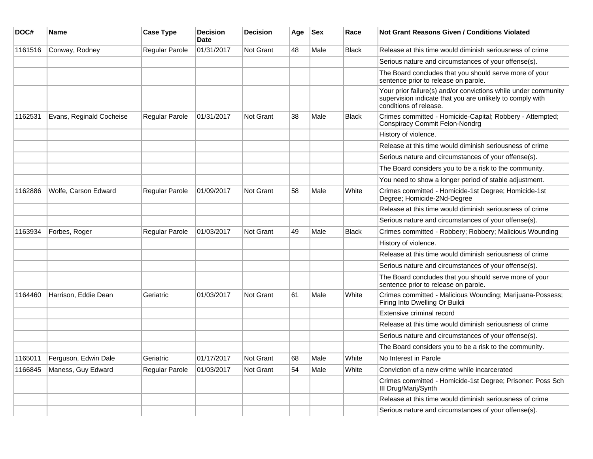| DOC#    | <b>Name</b>              | <b>Case Type</b>      | <b>Decision</b><br><b>Date</b> | <b>Decision</b>  | Age | $ $ Sex | Race         | Not Grant Reasons Given / Conditions Violated                                                                                                         |
|---------|--------------------------|-----------------------|--------------------------------|------------------|-----|---------|--------------|-------------------------------------------------------------------------------------------------------------------------------------------------------|
| 1161516 | Conway, Rodney           | Regular Parole        | 01/31/2017                     | Not Grant        | 48  | Male    | <b>Black</b> | Release at this time would diminish seriousness of crime                                                                                              |
|         |                          |                       |                                |                  |     |         |              | Serious nature and circumstances of your offense(s).                                                                                                  |
|         |                          |                       |                                |                  |     |         |              | The Board concludes that you should serve more of your<br>sentence prior to release on parole.                                                        |
|         |                          |                       |                                |                  |     |         |              | Your prior failure(s) and/or convictions while under community<br>supervision indicate that you are unlikely to comply with<br>conditions of release. |
| 1162531 | Evans, Reginald Cocheise | Regular Parole        | 01/31/2017                     | Not Grant        | 38  | Male    | <b>Black</b> | Crimes committed - Homicide-Capital; Robbery - Attempted;<br><b>Conspiracy Commit Felon-Nondrg</b>                                                    |
|         |                          |                       |                                |                  |     |         |              | History of violence.                                                                                                                                  |
|         |                          |                       |                                |                  |     |         |              | Release at this time would diminish seriousness of crime                                                                                              |
|         |                          |                       |                                |                  |     |         |              | Serious nature and circumstances of your offense(s).                                                                                                  |
|         |                          |                       |                                |                  |     |         |              | The Board considers you to be a risk to the community.                                                                                                |
|         |                          |                       |                                |                  |     |         |              | You need to show a longer period of stable adjustment.                                                                                                |
| 1162886 | Wolfe, Carson Edward     | Regular Parole        | 01/09/2017                     | Not Grant        | 58  | Male    | White        | Crimes committed - Homicide-1st Degree; Homicide-1st<br>Degree; Homicide-2Nd-Degree                                                                   |
|         |                          |                       |                                |                  |     |         |              | Release at this time would diminish seriousness of crime                                                                                              |
|         |                          |                       |                                |                  |     |         |              | Serious nature and circumstances of your offense(s).                                                                                                  |
| 1163934 | Forbes, Roger            | Regular Parole        | 01/03/2017                     | Not Grant        | 49  | Male    | Black        | Crimes committed - Robbery; Robbery; Malicious Wounding                                                                                               |
|         |                          |                       |                                |                  |     |         |              | History of violence.                                                                                                                                  |
|         |                          |                       |                                |                  |     |         |              | Release at this time would diminish seriousness of crime                                                                                              |
|         |                          |                       |                                |                  |     |         |              | Serious nature and circumstances of your offense(s).                                                                                                  |
|         |                          |                       |                                |                  |     |         |              | The Board concludes that you should serve more of your<br>sentence prior to release on parole.                                                        |
| 1164460 | Harrison, Eddie Dean     | Geriatric             | 01/03/2017                     | Not Grant        | 61  | Male    | White        | Crimes committed - Malicious Wounding; Marijuana-Possess;<br>Firing Into Dwelling Or Buildi                                                           |
|         |                          |                       |                                |                  |     |         |              | Extensive criminal record                                                                                                                             |
|         |                          |                       |                                |                  |     |         |              | Release at this time would diminish seriousness of crime                                                                                              |
|         |                          |                       |                                |                  |     |         |              | Serious nature and circumstances of your offense(s).                                                                                                  |
|         |                          |                       |                                |                  |     |         |              | The Board considers you to be a risk to the community.                                                                                                |
| 1165011 | Ferguson, Edwin Dale     | Geriatric             | 01/17/2017                     | <b>Not Grant</b> | 68  | Male    | White        | No Interest in Parole                                                                                                                                 |
| 1166845 | Maness, Guy Edward       | <b>Regular Parole</b> | 01/03/2017                     | <b>Not Grant</b> | 54  | Male    | White        | Conviction of a new crime while incarcerated                                                                                                          |
|         |                          |                       |                                |                  |     |         |              | Crimes committed - Homicide-1st Degree; Prisoner: Poss Sch<br>III Drug/Marij/Synth                                                                    |
|         |                          |                       |                                |                  |     |         |              | Release at this time would diminish seriousness of crime                                                                                              |
|         |                          |                       |                                |                  |     |         |              | Serious nature and circumstances of your offense(s).                                                                                                  |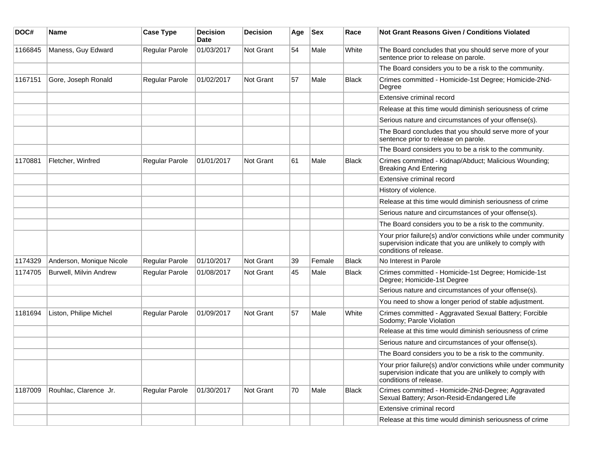| DOC#    | <b>Name</b>                   | <b>Case Type</b> | <b>Decision</b><br><b>Date</b> | <b>Decision</b>  | Age | <b>Sex</b> | Race         | Not Grant Reasons Given / Conditions Violated                                                                                                         |
|---------|-------------------------------|------------------|--------------------------------|------------------|-----|------------|--------------|-------------------------------------------------------------------------------------------------------------------------------------------------------|
| 1166845 | Maness, Guy Edward            | Regular Parole   | 01/03/2017                     | Not Grant        | 54  | Male       | White        | The Board concludes that you should serve more of your<br>sentence prior to release on parole.                                                        |
|         |                               |                  |                                |                  |     |            |              | The Board considers you to be a risk to the community.                                                                                                |
| 1167151 | Gore, Joseph Ronald           | Regular Parole   | 01/02/2017                     | <b>Not Grant</b> | 57  | Male       | Black        | Crimes committed - Homicide-1st Degree; Homicide-2Nd-<br>Degree                                                                                       |
|         |                               |                  |                                |                  |     |            |              | Extensive criminal record                                                                                                                             |
|         |                               |                  |                                |                  |     |            |              | Release at this time would diminish seriousness of crime                                                                                              |
|         |                               |                  |                                |                  |     |            |              | Serious nature and circumstances of your offense(s).                                                                                                  |
|         |                               |                  |                                |                  |     |            |              | The Board concludes that you should serve more of your<br>sentence prior to release on parole.                                                        |
|         |                               |                  |                                |                  |     |            |              | The Board considers you to be a risk to the community.                                                                                                |
| 1170881 | Fletcher, Winfred             | Regular Parole   | 01/01/2017                     | <b>Not Grant</b> | 61  | Male       | <b>Black</b> | Crimes committed - Kidnap/Abduct; Malicious Wounding;<br><b>Breaking And Entering</b>                                                                 |
|         |                               |                  |                                |                  |     |            |              | Extensive criminal record                                                                                                                             |
|         |                               |                  |                                |                  |     |            |              | History of violence.                                                                                                                                  |
|         |                               |                  |                                |                  |     |            |              | Release at this time would diminish seriousness of crime                                                                                              |
|         |                               |                  |                                |                  |     |            |              | Serious nature and circumstances of your offense(s).                                                                                                  |
|         |                               |                  |                                |                  |     |            |              | The Board considers you to be a risk to the community.                                                                                                |
|         |                               |                  |                                |                  |     |            |              | Your prior failure(s) and/or convictions while under community<br>supervision indicate that you are unlikely to comply with<br>conditions of release. |
| 1174329 | Anderson, Monique Nicole      | Regular Parole   | 01/10/2017                     | <b>Not Grant</b> | 39  | Female     | <b>Black</b> | No Interest in Parole                                                                                                                                 |
| 1174705 | <b>Burwell, Milvin Andrew</b> | Regular Parole   | 01/08/2017                     | <b>Not Grant</b> | 45  | Male       | <b>Black</b> | Crimes committed - Homicide-1st Degree; Homicide-1st<br>Degree; Homicide-1st Degree                                                                   |
|         |                               |                  |                                |                  |     |            |              | Serious nature and circumstances of your offense(s).                                                                                                  |
|         |                               |                  |                                |                  |     |            |              | You need to show a longer period of stable adjustment.                                                                                                |
| 1181694 | Liston, Philipe Michel        | Regular Parole   | 01/09/2017                     | Not Grant        | 57  | Male       | White        | Crimes committed - Aggravated Sexual Battery; Forcible<br>Sodomy; Parole Violation                                                                    |
|         |                               |                  |                                |                  |     |            |              | Release at this time would diminish seriousness of crime                                                                                              |
|         |                               |                  |                                |                  |     |            |              | Serious nature and circumstances of your offense(s).                                                                                                  |
|         |                               |                  |                                |                  |     |            |              | The Board considers you to be a risk to the community.                                                                                                |
|         |                               |                  |                                |                  |     |            |              | Your prior failure(s) and/or convictions while under community<br>supervision indicate that you are unlikely to comply with<br>conditions of release. |
| 1187009 | Rouhlac, Clarence Jr.         | Regular Parole   | 01/30/2017                     | Not Grant        | 70  | Male       | Black        | Crimes committed - Homicide-2Nd-Degree; Aggravated<br>Sexual Battery; Arson-Resid-Endangered Life                                                     |
|         |                               |                  |                                |                  |     |            |              | Extensive criminal record                                                                                                                             |
|         |                               |                  |                                |                  |     |            |              | Release at this time would diminish seriousness of crime                                                                                              |